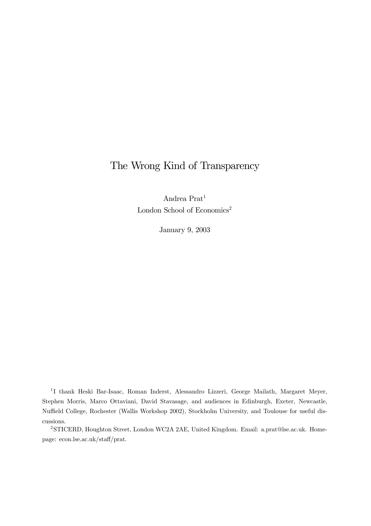# The Wrong Kind of Transparency

Andrea Prat1 London School of Economics<sup>2</sup>

January 9, 2003

<sup>1</sup> I thank Heski Bar-Isaac, Roman Inderst, Alessandro Lizzeri, George Mailath, Margaret Meyer, Stephen Morris, Marco Ottaviani, David Stavasage, and audiences in Edinburgh, Exeter, Newcastle, Nuffield College, Rochester (Wallis Workshop 2002), Stockholm University, and Toulouse for useful discussions.

2STICERD, Houghton Street, London WC2A 2AE, United Kingdom. Email: a.prat@lse.ac.uk. Homepage: econ.lse.ac.uk/staff/prat.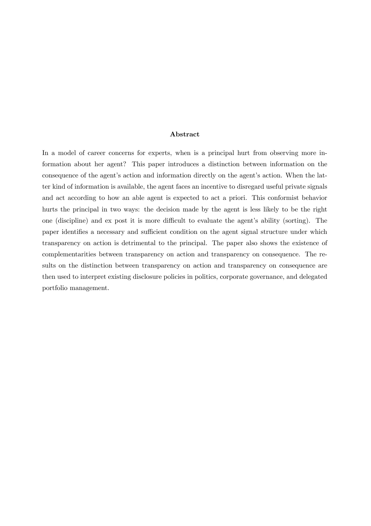#### Abstract

In a model of career concerns for experts, when is a principal hurt from observing more information about her agent? This paper introduces a distinction between information on the consequence of the agent's action and information directly on the agent's action. When the latter kind of information is available, the agent faces an incentive to disregard useful private signals and act according to how an able agent is expected to act a priori. This conformist behavior hurts the principal in two ways: the decision made by the agent is less likely to be the right one (discipline) and ex post it is more difficult to evaluate the agent's ability (sorting). The paper identifies a necessary and sufficient condition on the agent signal structure under which transparency on action is detrimental to the principal. The paper also shows the existence of complementarities between transparency on action and transparency on consequence. The results on the distinction between transparency on action and transparency on consequence are then used to interpret existing disclosure policies in politics, corporate governance, and delegated portfolio management.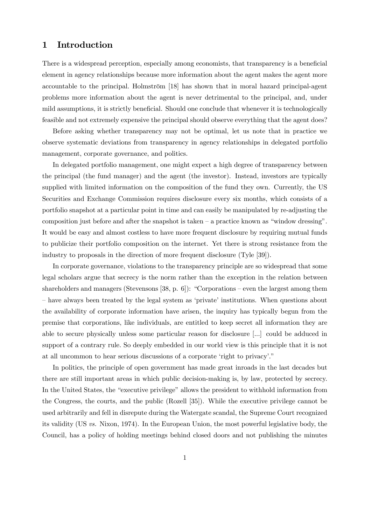### 1 Introduction

There is a widespread perception, especially among economists, that transparency is a beneficial element in agency relationships because more information about the agent makes the agent more accountable to the principal. Holmström [18] has shown that in moral hazard principal-agent problems more information about the agent is never detrimental to the principal, and, under mild assumptions, it is strictly beneficial. Should one conclude that whenever it is technologically feasible and not extremely expensive the principal should observe everything that the agent does?

Before asking whether transparency may not be optimal, let us note that in practice we observe systematic deviations from transparency in agency relationships in delegated portfolio management, corporate governance, and politics.

In delegated portfolio management, one might expect a high degree of transparency between the principal (the fund manager) and the agent (the investor). Instead, investors are typically supplied with limited information on the composition of the fund they own. Currently, the US Securities and Exchange Commission requires disclosure every six months, which consists of a portfolio snapshot at a particular point in time and can easily be manipulated by re-adjusting the composition just before and after the snapshot is taken  $-$  a practice known as "window dressing". It would be easy and almost costless to have more frequent disclosure by requiring mutual funds to publicize their portfolio composition on the internet. Yet there is strong resistance from the industry to proposals in the direction of more frequent disclosure (Tyle [39]).

In corporate governance, violations to the transparency principle are so widespread that some legal scholars argue that secrecy is the norm rather than the exception in the relation between shareholders and managers (Stevensons [38, p. 6]): "Corporations – even the largest among them — have always been treated by the legal system as 'private' institutions. When questions about the availability of corporate information have arisen, the inquiry has typically begun from the premise that corporations, like individuals, are entitled to keep secret all information they are able to secure physically unless some particular reason for disclosure [...] could be adduced in support of a contrary rule. So deeply embedded in our world view is this principle that it is not at all uncommon to hear serious discussions of a corporate 'right to privacy'."

In politics, the principle of open government has made great inroads in the last decades but there are still important areas in which public decision-making is, by law, protected by secrecy. In the United States, the "executive privilege" allows the president to withhold information from the Congress, the courts, and the public (Rozell [35]). While the executive privilege cannot be used arbitrarily and fell in disrepute during the Watergate scandal, the Supreme Court recognized its validity (US vs. Nixon, 1974). In the European Union, the most powerful legislative body, the Council, has a policy of holding meetings behind closed doors and not publishing the minutes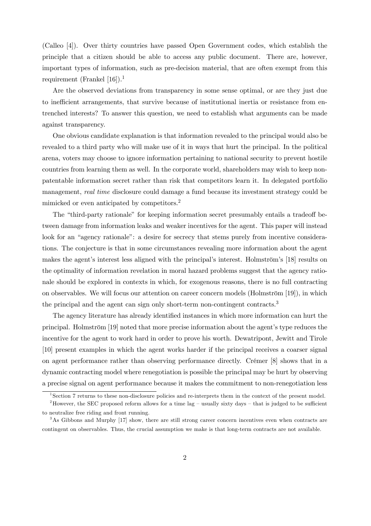(Calleo [4]). Over thirty countries have passed Open Government codes, which establish the principle that a citizen should be able to access any public document. There are, however, important types of information, such as pre-decision material, that are often exempt from this requirement (Frankel [16]).<sup>1</sup>

Are the observed deviations from transparency in some sense optimal, or are they just due to inefficient arrangements, that survive because of institutional inertia or resistance from entrenched interests? To answer this question, we need to establish what arguments can be made against transparency.

One obvious candidate explanation is that information revealed to the principal would also be revealed to a third party who will make use of it in ways that hurt the principal. In the political arena, voters may choose to ignore information pertaining to national security to prevent hostile countries from learning them as well. In the corporate world, shareholders may wish to keep nonpatentable information secret rather than risk that competitors learn it. In delegated portfolio management, real time disclosure could damage a fund because its investment strategy could be mimicked or even anticipated by competitors.2

The "third-party rationale" for keeping information secret presumably entails a tradeoff between damage from information leaks and weaker incentives for the agent. This paper will instead look for an "agency rationale": a desire for secrecy that stems purely from incentive considerations. The conjecture is that in some circumstances revealing more information about the agent makes the agent's interest less aligned with the principal's interest. Holmström's [18] results on the optimality of information revelation in moral hazard problems suggest that the agency rationale should be explored in contexts in which, for exogenous reasons, there is no full contracting on observables. We will focus our attention on career concern models (Holmström [19]), in which the principal and the agent can sign only short-term non-contingent contracts.<sup>3</sup>

The agency literature has already identified instances in which more information can hurt the principal. Holmström [19] noted that more precise information about the agent's type reduces the incentive for the agent to work hard in order to prove his worth. Dewatripont, Jewitt and Tirole [10] present examples in which the agent works harder if the principal receives a coarser signal on agent performance rather than observing performance directly. Crémer [8] shows that in a dynamic contracting model where renegotiation is possible the principal may be hurt by observing a precise signal on agent performance because it makes the commitment to non-renegotiation less

<sup>1</sup>Section 7 returns to these non-disclosure policies and re-interprets them in the context of the present model.

<sup>&</sup>lt;sup>2</sup>However, the SEC proposed reform allows for a time lag – usually sixty days – that is judged to be sufficient to neutralize free riding and front running.

 $3$ As Gibbons and Murphy [17] show, there are still strong career concern incentives even when contracts are contingent on observables. Thus, the crucial assumption we make is that long-term contracts are not available.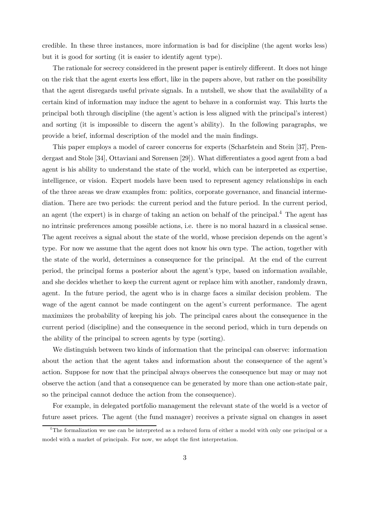credible. In these three instances, more information is bad for discipline (the agent works less) but it is good for sorting (it is easier to identify agent type).

The rationale for secrecy considered in the present paper is entirely different. It does not hinge on the risk that the agent exerts less effort, like in the papers above, but rather on the possibility that the agent disregards useful private signals. In a nutshell, we show that the availability of a certain kind of information may induce the agent to behave in a conformist way. This hurts the principal both through discipline (the agent's action is less aligned with the principal's interest) and sorting (it is impossible to discern the agent's ability). In the following paragraphs, we provide a brief, informal description of the model and the main findings.

This paper employs a model of career concerns for experts (Scharfstein and Stein [37], Prendergast and Stole [34], Ottaviani and Sørensen [29]). What differentiates a good agent from a bad agent is his ability to understand the state of the world, which can be interpreted as expertise, intelligence, or vision. Expert models have been used to represent agency relationships in each of the three areas we draw examples from: politics, corporate governance, and financial intermediation. There are two periods: the current period and the future period. In the current period, an agent (the expert) is in charge of taking an action on behalf of the principal.<sup>4</sup> The agent has no intrinsic preferences among possible actions, i.e. there is no moral hazard in a classical sense. The agent receives a signal about the state of the world, whose precision depends on the agent's type. For now we assume that the agent does not know his own type. The action, together with the state of the world, determines a consequence for the principal. At the end of the current period, the principal forms a posterior about the agent's type, based on information available, and she decides whether to keep the current agent or replace him with another, randomly drawn, agent. In the future period, the agent who is in charge faces a similar decision problem. The wage of the agent cannot be made contingent on the agent's current performance. The agent maximizes the probability of keeping his job. The principal cares about the consequence in the current period (discipline) and the consequence in the second period, which in turn depends on the ability of the principal to screen agents by type (sorting).

We distinguish between two kinds of information that the principal can observe: information about the action that the agent takes and information about the consequence of the agent's action. Suppose for now that the principal always observes the consequence but may or may not observe the action (and that a consequence can be generated by more than one action-state pair, so the principal cannot deduce the action from the consequence).

For example, in delegated portfolio management the relevant state of the world is a vector of future asset prices. The agent (the fund manager) receives a private signal on changes in asset

<sup>4</sup>The formalization we use can be interpreted as a reduced form of either a model with only one principal or a model with a market of principals. For now, we adopt the first interpretation.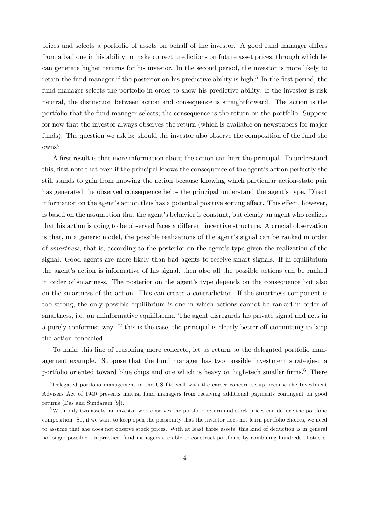prices and selects a portfolio of assets on behalf of the investor. A good fund manager differs from a bad one in his ability to make correct predictions on future asset prices, through which he can generate higher returns for his investor. In the second period, the investor is more likely to retain the fund manager if the posterior on his predictive ability is high.<sup>5</sup> In the first period, the fund manager selects the portfolio in order to show his predictive ability. If the investor is risk neutral, the distinction between action and consequence is straightforward. The action is the portfolio that the fund manager selects; the consequence is the return on the portfolio. Suppose for now that the investor always observes the return (which is available on newspapers for major funds). The question we ask is: should the investor also observe the composition of the fund she owns?

A first result is that more information about the action can hurt the principal. To understand this, first note that even if the principal knows the consequence of the agent's action perfectly she still stands to gain from knowing the action because knowing which particular action-state pair has generated the observed consequence helps the principal understand the agent's type. Direct information on the agent's action thus has a potential positive sorting effect. This effect, however, is based on the assumption that the agent's behavior is constant, but clearly an agent who realizes that his action is going to be observed faces a different incentive structure. A crucial observation is that, in a generic model, the possible realizations of the agent's signal can be ranked in order of smartness, that is, according to the posterior on the agent's type given the realization of the signal. Good agents are more likely than bad agents to receive smart signals. If in equilibrium the agent's action is informative of his signal, then also all the possible actions can be ranked in order of smartness. The posterior on the agent's type depends on the consequence but also on the smartness of the action. This can create a contradiction. If the smartness component is too strong, the only possible equilibrium is one in which actions cannot be ranked in order of smartness, i.e. an uninformative equilibrium. The agent disregards his private signal and acts in a purely conformist way. If this is the case, the principal is clearly better off committing to keep the action concealed.

To make this line of reasoning more concrete, let us return to the delegated portfolio management example. Suppose that the fund manager has two possible investment strategies: a portfolio oriented toward blue chips and one which is heavy on high-tech smaller firms.<sup>6</sup> There

<sup>&</sup>lt;sup>5</sup>Delegated portfolio management in the US fits well with the career concern setup because the Investment Advisers Act of 1940 prevents mutual fund managers from receiving additional payments contingent on good returns (Das and Sundaram [9]).

 $6$ With only two assets, an investor who observes the portfolio return and stock prices can deduce the portfolio composition. So, if we want to keep open the possibility that the investor does not learn portfolio choices, we need to assume that she does not observe stock prices. With at least three assets, this kind of deduction is in general no longer possible. In practice, fund managers are able to construct portfolios by combining hundreds of stocks,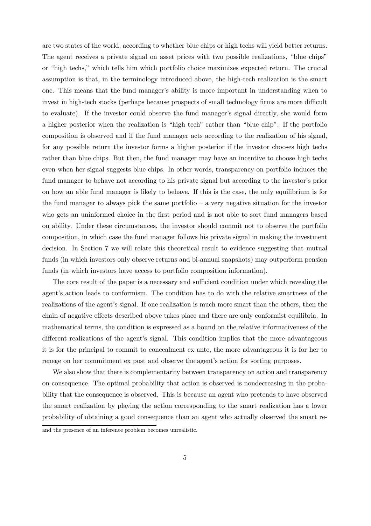are two states of the world, according to whether blue chips or high techs will yield better returns. The agent receives a private signal on asset prices with two possible realizations, "blue chips" or "high techs," which tells him which portfolio choice maximizes expected return. The crucial assumption is that, in the terminology introduced above, the high-tech realization is the smart one. This means that the fund manager's ability is more important in understanding when to invest in high-tech stocks (perhaps because prospects of small technology firms are more difficult to evaluate). If the investor could observe the fund manager's signal directly, she would form a higher posterior when the realization is "high tech" rather than "blue chip". If the portfolio composition is observed and if the fund manager acts according to the realization of his signal, for any possible return the investor forms a higher posterior if the investor chooses high techs rather than blue chips. But then, the fund manager may have an incentive to choose high techs even when her signal suggests blue chips. In other words, transparency on portfolio induces the fund manager to behave not according to his private signal but according to the investor's prior on how an able fund manager is likely to behave. If this is the case, the only equilibrium is for the fund manager to always pick the same portfolio  $-$  a very negative situation for the investor who gets an uninformed choice in the first period and is not able to sort fund managers based on ability. Under these circumstances, the investor should commit not to observe the portfolio composition, in which case the fund manager follows his private signal in making the investment decision. In Section 7 we will relate this theoretical result to evidence suggesting that mutual funds (in which investors only observe returns and bi-annual snapshots) may outperform pension funds (in which investors have access to portfolio composition information).

The core result of the paper is a necessary and sufficient condition under which revealing the agent's action leads to conformism. The condition has to do with the relative smartness of the realizations of the agent's signal. If one realization is much more smart than the others, then the chain of negative effects described above takes place and there are only conformist equilibria. In mathematical terms, the condition is expressed as a bound on the relative informativeness of the different realizations of the agent's signal. This condition implies that the more advantageous it is for the principal to commit to concealment ex ante, the more advantageous it is for her to renege on her commitment ex post and observe the agent's action for sorting purposes.

We also show that there is complementarity between transparency on action and transparency on consequence. The optimal probability that action is observed is nondecreasing in the probability that the consequence is observed. This is because an agent who pretends to have observed the smart realization by playing the action corresponding to the smart realization has a lower probability of obtaining a good consequence than an agent who actually observed the smart re-

and the presence of an inference problem becomes unrealistic.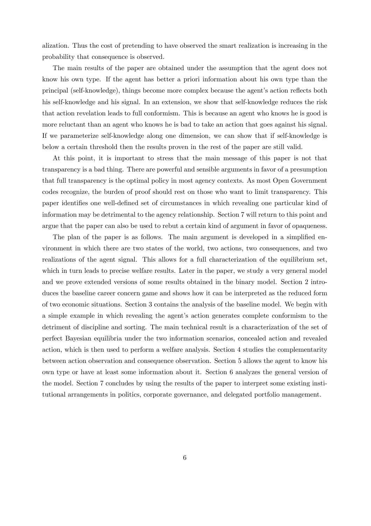alization. Thus the cost of pretending to have observed the smart realization is increasing in the probability that consequence is observed.

The main results of the paper are obtained under the assumption that the agent does not know his own type. If the agent has better a priori information about his own type than the principal (self-knowledge), things become more complex because the agent's action reflects both his self-knowledge and his signal. In an extension, we show that self-knowledge reduces the risk that action revelation leads to full conformism. This is because an agent who knows he is good is more reluctant than an agent who knows he is bad to take an action that goes against his signal. If we parameterize self-knowledge along one dimension, we can show that if self-knowledge is below a certain threshold then the results proven in the rest of the paper are still valid.

At this point, it is important to stress that the main message of this paper is not that transparency is a bad thing. There are powerful and sensible arguments in favor of a presumption that full transparency is the optimal policy in most agency contexts. As most Open Government codes recognize, the burden of proof should rest on those who want to limit transparency. This paper identifies one well-defined set of circumstances in which revealing one particular kind of information may be detrimental to the agency relationship. Section 7 will return to this point and argue that the paper can also be used to rebut a certain kind of argument in favor of opaqueness.

The plan of the paper is as follows. The main argument is developed in a simplified environment in which there are two states of the world, two actions, two consequences, and two realizations of the agent signal. This allows for a full characterization of the equilibrium set, which in turn leads to precise welfare results. Later in the paper, we study a very general model and we prove extended versions of some results obtained in the binary model. Section 2 introduces the baseline career concern game and shows how it can be interpreted as the reduced form of two economic situations. Section 3 contains the analysis of the baseline model. We begin with a simple example in which revealing the agent's action generates complete conformism to the detriment of discipline and sorting. The main technical result is a characterization of the set of perfect Bayesian equilibria under the two information scenarios, concealed action and revealed action, which is then used to perform a welfare analysis. Section 4 studies the complementarity between action observation and consequence observation. Section 5 allows the agent to know his own type or have at least some information about it. Section 6 analyzes the general version of the model. Section 7 concludes by using the results of the paper to interpret some existing institutional arrangements in politics, corporate governance, and delegated portfolio management.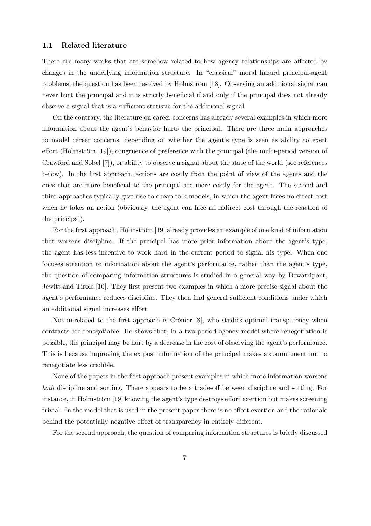#### 1.1 Related literature

There are many works that are somehow related to how agency relationships are affected by changes in the underlying information structure. In "classical" moral hazard principal-agent problems, the question has been resolved by Holmström [18]. Observing an additional signal can never hurt the principal and it is strictly beneficial if and only if the principal does not already observe a signal that is a sufficient statistic for the additional signal.

On the contrary, the literature on career concerns has already several examples in which more information about the agent's behavior hurts the principal. There are three main approaches to model career concerns, depending on whether the agent's type is seen as ability to exert effort (Holmström [19]), congruence of preference with the principal (the multi-period version of Crawford and Sobel [7]), or ability to observe a signal about the state of the world (see references below). In the first approach, actions are costly from the point of view of the agents and the ones that are more beneficial to the principal are more costly for the agent. The second and third approaches typically give rise to cheap talk models, in which the agent faces no direct cost when he takes an action (obviously, the agent can face an indirect cost through the reaction of the principal).

For the first approach, Holmström [19] already provides an example of one kind of information that worsens discipline. If the principal has more prior information about the agent's type, the agent has less incentive to work hard in the current period to signal his type. When one focuses attention to information about the agent's performance, rather than the agent's type, the question of comparing information structures is studied in a general way by Dewatripont, Jewitt and Tirole [10]. They first present two examples in which a more precise signal about the agent's performance reduces discipline. They then find general sufficient conditions under which an additional signal increases effort.

Not unrelated to the first approach is Crémer [8], who studies optimal transparency when contracts are renegotiable. He shows that, in a two-period agency model where renegotiation is possible, the principal may be hurt by a decrease in the cost of observing the agent's performance. This is because improving the ex post information of the principal makes a commitment not to renegotiate less credible.

None of the papers in the first approach present examples in which more information worsens both discipline and sorting. There appears to be a trade-off between discipline and sorting. For instance, in Holmström [19] knowing the agent's type destroys effort exertion but makes screening trivial. In the model that is used in the present paper there is no effort exertion and the rationale behind the potentially negative effect of transparency in entirely different.

For the second approach, the question of comparing information structures is briefly discussed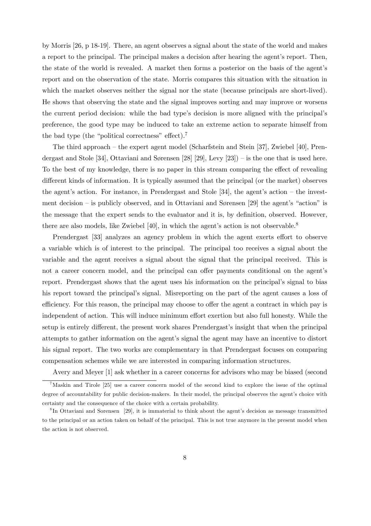by Morris [26, p 18-19]. There, an agent observes a signal about the state of the world and makes a report to the principal. The principal makes a decision after hearing the agent's report. Then, the state of the world is revealed. A market then forms a posterior on the basis of the agent's report and on the observation of the state. Morris compares this situation with the situation in which the market observes neither the signal nor the state (because principals are short-lived). He shows that observing the state and the signal improves sorting and may improve or worsens the current period decision: while the bad type's decision is more aligned with the principal's preference, the good type may be induced to take an extreme action to separate himself from the bad type (the "political correctness" effect).<sup>7</sup>

The third approach — the expert agent model (Scharfstein and Stein [37], Zwiebel [40], Prendergast and Stole [34], Ottaviani and Sørensen [28] [29], Levy [23]) — is the one that is used here. To the best of my knowledge, there is no paper in this stream comparing the effect of revealing different kinds of information. It is typically assumed that the principal (or the market) observes the agent's action. For instance, in Prendergast and Stole [34], the agent's action — the investment decision — is publicly observed, and in Ottaviani and Sørensen [29] the agent's "action" is the message that the expert sends to the evaluator and it is, by definition, observed. However, there are also models, like Zwiebel  $[40]$ , in which the agent's action is not observable.<sup>8</sup>

Prendergast [33] analyzes an agency problem in which the agent exerts effort to observe a variable which is of interest to the principal. The principal too receives a signal about the variable and the agent receives a signal about the signal that the principal received. This is not a career concern model, and the principal can offer payments conditional on the agent's report. Prendergast shows that the agent uses his information on the principal's signal to bias his report toward the principal's signal. Misreporting on the part of the agent causes a loss of efficiency. For this reason, the principal may choose to offer the agent a contract in which pay is independent of action. This will induce minimum effort exertion but also full honesty. While the setup is entirely different, the present work shares Prendergast's insight that when the principal attempts to gather information on the agent's signal the agent may have an incentive to distort his signal report. The two works are complementary in that Prendergast focuses on comparing compensation schemes while we are interested in comparing information structures.

Avery and Meyer [1] ask whether in a career concerns for advisors who may be biased (second

<sup>&</sup>lt;sup>7</sup>Maskin and Tirole [25] use a career concern model of the second kind to explore the issue of the optimal degree of accountability for public decision-makers. In their model, the principal observes the agent's choice with certainty and the consequence of the choice with a certain probability.

<sup>8</sup> In Ottaviani and Sorensen [29], it is immaterial to think about the agent's decision as message transmitted to the principal or an action taken on behalf of the principal. This is not true anymore in the present model when the action is not observed.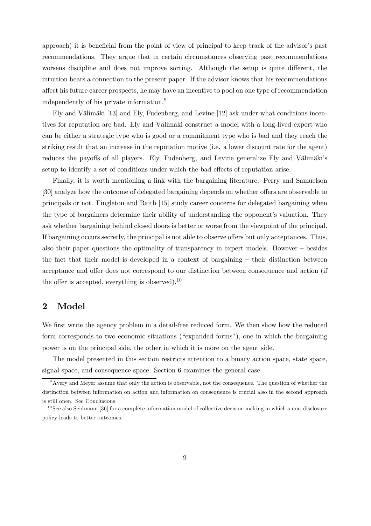approach) it is beneficial from the point of view of principal to keep track of the advisor's past recommendations. They argue that in certain circumstances observing past recommendations worsens discipline and does not improve sorting. Although the setup is quite different, the intuition bears a connection to the present paper. If the advisor knows that his recommendations affect his future career prospects, he may have an incentive to pool on one type of recommendation independently of his private information.<sup>9</sup>

Ely and Välimäki [13] and Ely, Fudenberg, and Levine [12] ask under what conditions incentives for reputation are bad. Ely and Välimäki construct a model with a long-lived expert who can be either a strategic type who is good or a commitment type who is bad and they reach the striking result that an increase in the reputation motive (i.e. a lower discount rate for the agent) reduces the payoffs of all players. Ely, Fudenberg, and Levine generalize Ely and Välimäki's setup to identify a set of conditions under which the bad effects of reputation arise.

Finally, it is worth mentioning a link with the bargaining literature. Perry and Samuelson [30] analyze how the outcome of delegated bargaining depends on whether offers are observable to principals or not. Fingleton and Raith [15] study career concerns for delegated bargaining when the type of bargainers determine their ability of understanding the opponent's valuation. They ask whether bargaining behind closed doors is better or worse from the viewpoint of the principal. If bargaining occurs secretly, the principal is not able to observe offers but only acceptances. Thus, also their paper questions the optimality of transparency in expert models. However — besides the fact that their model is developed in a context of bargaining — their distinction between acceptance and offer does not correspond to our distinction between consequence and action (if the offer is accepted, everything is observed).<sup>10</sup>

# 2 Model

We first write the agency problem in a detail-free reduced form. We then show how the reduced form corresponds to two economic situations ("expanded forms"), one in which the bargaining power is on the principal side, the other in which it is more on the agent side.

The model presented in this section restricts attention to a binary action space, state space, signal space, and consequence space. Section 6 examines the general case.

 $9^9$  Avery and Meyer assume that only the action is observable, not the consequence. The question of whether the distinction between information on action and information on consequence is crucial also in the second approach is still open. See Conclusions.

 $10$  See also Seidmann [36] for a complete information model of collective decision making in which a non-disclosure policy leads to better outcomes.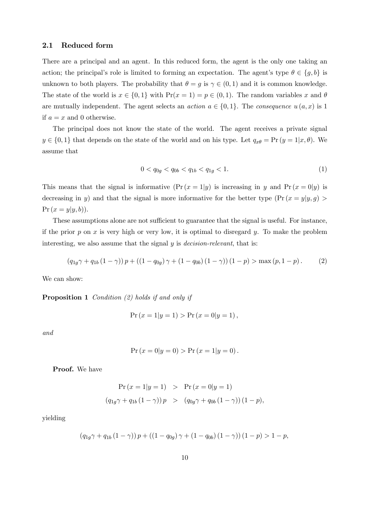### 2.1 Reduced form

There are a principal and an agent. In this reduced form, the agent is the only one taking an action; the principal's role is limited to forming an expectation. The agent's type  $\theta \in \{g, b\}$  is unknown to both players. The probability that  $\theta = g$  is  $\gamma \in (0, 1)$  and it is common knowledge. The state of the world is  $x \in \{0,1\}$  with  $Pr(x = 1) = p \in (0,1)$ . The random variables x and  $\theta$ are mutually independent. The agent selects an *action*  $a \in \{0,1\}$ . The *consequence*  $u(a, x)$  is 1 if  $a = x$  and 0 otherwise.

The principal does not know the state of the world. The agent receives a private signal  $y \in \{0,1\}$  that depends on the state of the world and on his type. Let  $q_{x\theta} = \Pr(y = 1|x,\theta)$ . We assume that

$$
0 < q_{0g} < q_{0b} < q_{1b} < q_{1g} < 1. \tag{1}
$$

This means that the signal is informative  $(\Pr(x = 1|y)$  is increasing in y and  $\Pr(x = 0|y)$  is decreasing in y) and that the signal is more informative for the better type  $(\Pr(x = y | y, g) >$  $Pr(x = y | y, b)).$ 

These assumptions alone are not sufficient to guarantee that the signal is useful. For instance, if the prior p on x is very high or very low, it is optimal to disregard y. To make the problem interesting, we also assume that the signal y is *decision-relevant*, that is:

$$
(q_{1g}\gamma + q_{1b}(1-\gamma))p + ((1-q_{0g})\gamma + (1-q_{0b})(1-\gamma))(1-p) > \max(p, 1-p).
$$
 (2)

We can show:

**Proposition 1** Condition  $(2)$  holds if and only if

$$
Pr(x = 1|y = 1) > Pr(x = 0|y = 1),
$$

and

$$
Pr(x = 0|y = 0) > Pr(x = 1|y = 0).
$$

Proof. We have

$$
\Pr(x = 1|y = 1) > \Pr(x = 0|y = 1) \\
 (q_{1g}\gamma + q_{1b}(1 - \gamma))p > (q_{0g}\gamma + q_{0b}(1 - \gamma))(1 - p),
$$

yielding

$$
(q_{1g}\gamma + q_{1b}(1-\gamma)) p + ((1-q_{0g})\gamma + (1-q_{0b})(1-\gamma))(1-p) > 1-p,
$$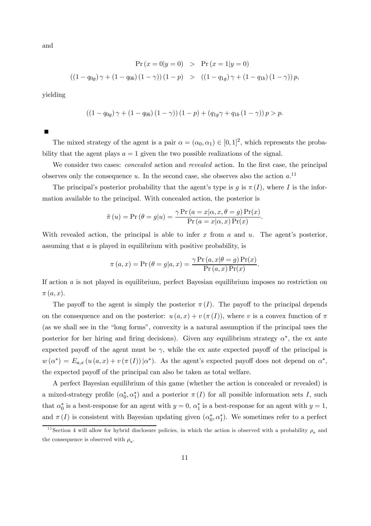and

$$
\Pr(x = 0|y = 0) > \Pr(x = 1|y = 0)
$$
\n
$$
((1 - q_{0g})\gamma + (1 - q_{0b})(1 - \gamma))(1 - p) > ((1 - q_{1g})\gamma + (1 - q_{1b})(1 - \gamma))p,
$$

yielding

$$
((1 - q_{0g}) \gamma + (1 - q_{0b}) (1 - \gamma)) (1 - p) + (q_{1g} \gamma + q_{1b} (1 - \gamma)) p > p.
$$

The mixed strategy of the agent is a pair  $\alpha = (\alpha_0, \alpha_1) \in [0, 1]^2$ , which represents the probability that the agent plays  $a = 1$  given the two possible realizations of the signal.

We consider two cases: *concealed* action and *revealed* action. In the first case, the principal observes only the consequence u. In the second case, she observes also the action  $a$ .<sup>11</sup>

The principal's posterior probability that the agent's type is g is  $\pi(I)$ , where I is the information available to the principal. With concealed action, the posterior is

$$
\tilde{\pi}(u) = \Pr(\theta = g|u) = \frac{\gamma \Pr(a = x|\alpha, x, \theta = g) \Pr(x)}{\Pr(a = x|\alpha, x) \Pr(x)}.
$$

With revealed action, the principal is able to infer x from a and u. The agent's posterior, assuming that a is played in equilibrium with positive probability, is

$$
\pi(a, x) = \Pr(\theta = g|a, x) = \frac{\gamma \Pr(a, x|\theta = g) \Pr(x)}{\Pr(a, x) \Pr(x)}.
$$

If action a is not played in equilibrium, perfect Bayesian equilibrium imposes no restriction on  $\pi(a,x)$ .

The payoff to the agent is simply the posterior  $\pi(I)$ . The payoff to the principal depends on the consequence and on the posterior:  $u(a, x) + v(\pi(I))$ , where v is a convex function of  $\pi$ (as we shall see in the "long forms", convexity is a natural assumption if the principal uses the posterior for her hiring and firing decisions). Given any equilibrium strategy  $\alpha^*$ , the ex ante expected payoff of the agent must be  $\gamma$ , while the ex ante expected payoff of the principal is  $w(\alpha^*) = E_{a,x}(u(a,x) + v(\pi(I))|\alpha^*)$ . As the agent's expected payoff does not depend on  $\alpha^*$ , the expected payoff of the principal can also be taken as total welfare.

A perfect Bayesian equilibrium of this game (whether the action is concealed or revealed) is a mixed-strategy profile  $(\alpha_0^*, \alpha_1^*)$  and a posterior  $\pi(I)$  for all possible information sets I, such that  $\alpha_0^*$  is a best-response for an agent with  $y = 0$ ,  $\alpha_1^*$  is a best-response for an agent with  $y = 1$ , and  $\pi(I)$  is consistent with Bayesian updating given  $(\alpha_0^*, \alpha_1^*)$ . We sometimes refer to a perfect

<sup>&</sup>lt;sup>11</sup> Section 4 will allow for hybrid disclosure policies, in which the action is observed with a probability  $\rho_a$  and the consequence is observed with  $\rho_u$ .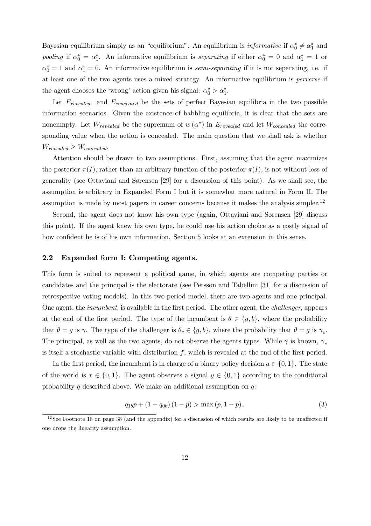Bayesian equilibrium simply as an "equilibrium". An equilibrium is *informative* if  $\alpha_0^* \neq \alpha_1^*$  and pooling if  $\alpha_0^* = \alpha_1^*$ . An informative equilibrium is *separating* if either  $\alpha_0^* = 0$  and  $\alpha_1^* = 1$  or  $\alpha_0^* = 1$  and  $\alpha_1^* = 0$ . An informative equilibrium is *semi-separating* if it is not separating, i.e. if at least one of the two agents uses a mixed strategy. An informative equilibrium is perverse if the agent chooses the 'wrong' action given his signal:  $\alpha_0^* > \alpha_1^*$ .

Let  $E_{revaled}$  and  $E_{concealed}$  be the sets of perfect Bayesian equilibria in the two possible information scenarios. Given the existence of babbling equilibria, it is clear that the sets are nonenmpty. Let  $W_{revealed}$  be the supremum of  $w(\alpha^*)$  in  $E_{revealed}$  and let  $W_{conceded}$  the corresponding value when the action is concealed. The main question that we shall ask is whether  $W_{revealed} \geq W_{concealed}$ .

Attention should be drawn to two assumptions. First, assuming that the agent maximizes the posterior  $\pi(I)$ , rather than an arbitrary function of the posterior  $\pi(I)$ , is not without loss of generality (see Ottaviani and Sørensen [29] for a discussion of this point). As we shall see, the assumption is arbitrary in Expanded Form I but it is somewhat more natural in Form II. The assumption is made by most papers in career concerns because it makes the analysis simpler.12

Second, the agent does not know his own type (again, Ottaviani and Sørensen [29] discuss this point). If the agent knew his own type, he could use his action choice as a costly signal of how confident he is of his own information. Section 5 looks at an extension in this sense.

#### 2.2 Expanded form I: Competing agents.

This form is suited to represent a political game, in which agents are competing parties or candidates and the principal is the electorate (see Persson and Tabellini [31] for a discussion of retrospective voting models). In this two-period model, there are two agents and one principal. One agent, the incumbent, is available in the first period. The other agent, the challenger, appears at the end of the first period. The type of the incumbent is  $\theta \in \{g, b\}$ , where the probability that  $\theta = g$  is  $\gamma$ . The type of the challenger is  $\theta_c \in \{g, b\}$ , where the probability that  $\theta = g$  is  $\gamma_c$ . The principal, as well as the two agents, do not observe the agents types. While  $\gamma$  is known,  $\gamma_c$ is itself a stochastic variable with distribution  $f$ , which is revealed at the end of the first period.

In the first period, the incumbent is in charge of a binary policy decision  $a \in \{0, 1\}$ . The state of the world is  $x \in \{0,1\}$ . The agent observes a signal  $y \in \{0,1\}$  according to the conditional probability q described above. We make an additional assumption on  $q$ :

$$
q_{1b}p + (1 - q_{0b})(1 - p) > \max(p, 1 - p).
$$
 (3)

 $12$  See Footnote 18 on page 38 (and the appendix) for a discussion of which results are likely to be unaffected if one drops the linearity assumption.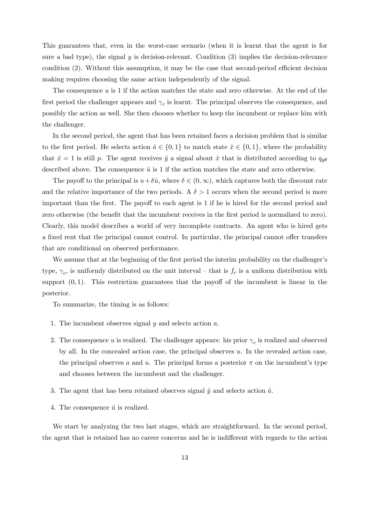This guarantees that, even in the worst-case scenario (when it is learnt that the agent is for sure a bad type), the signal  $y$  is decision-relevant. Condition  $(3)$  implies the decision-relevance condition (2). Without this assumption, it may be the case that second-period efficient decision making requires choosing the same action independently of the signal.

The consequence  $u$  is 1 if the action matches the state and zero otherwise. At the end of the first period the challenger appears and  $\gamma_c$  is learnt. The principal observes the consequence, and possibly the action as well. She then chooses whether to keep the incumbent or replace him with the challenger.

In the second period, the agent that has been retained faces a decision problem that is similar to the first period. He selects action  $\hat{a} \in \{0,1\}$  to match state  $\hat{x} \in \{0,1\}$ , where the probability that  $\hat{x} = 1$  is still p. The agent receives  $\hat{y}$  a signal about  $\hat{x}$  that is distributed according to  $q_{y\theta}$ described above. The consequence  $\hat{u}$  is 1 if the action matches the state and zero otherwise.

The payoff to the principal is  $u+\delta\hat{u}$ , where  $\delta\in(0,\infty)$ , which captures both the discount rate and the relative importance of the two periods. A  $\delta > 1$  occurs when the second period is more important than the first. The payoff to each agent is 1 if he is hired for the second period and zero otherwise (the benefit that the incumbent receives in the first period is normalized to zero). Clearly, this model describes a world of very incomplete contracts. An agent who is hired gets a fixed rent that the principal cannot control. In particular, the principal cannot offer transfers that are conditional on observed performance.

We assume that at the beginning of the first period the interim probability on the challenger's type,  $\gamma_c$ , is uniformly distributed on the unit interval – that is  $f_c$  is a uniform distribution with support  $(0, 1)$ . This restriction guarantees that the payoff of the incumbent is linear in the posterior.

To summarize, the timing is as follows:

- 1. The incumbent observes signal  $y$  and selects action  $a$ .
- 2. The consequence u is realized. The challenger appears: his prior  $\gamma_c$  is realized and observed by all. In the concealed action case, the principal observes u. In the revealed action case, the principal observes a and u. The principal forms a posterior  $\pi$  on the incumbent's type and chooses between the incumbent and the challenger.
- 3. The agent that has been retained observes signal  $\hat{y}$  and selects action  $\hat{a}$ .
- 4. The consequence  $\hat{u}$  is realized.

We start by analyzing the two last stages, which are straightforward. In the second period, the agent that is retained has no career concerns and he is indifferent with regards to the action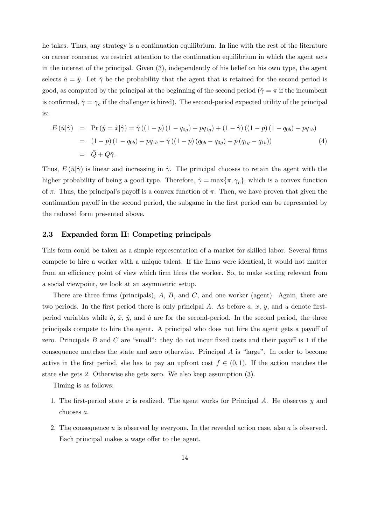he takes. Thus, any strategy is a continuation equilibrium. In line with the rest of the literature on career concerns, we restrict attention to the continuation equilibrium in which the agent acts in the interest of the principal. Given (3), independently of his belief on his own type, the agent selects  $\hat{a} = \hat{y}$ . Let  $\hat{\gamma}$  be the probability that the agent that is retained for the second period is good, as computed by the principal at the beginning of the second period ( $\hat{\gamma} = \pi$  if the incumbent is confirmed,  $\hat{\gamma} = \gamma_c$  if the challenger is hired). The second-period expected utility of the principal is:

$$
E(\hat{u}|\hat{\gamma}) = \Pr(\hat{y} = \hat{x}|\hat{\gamma}) = \hat{\gamma}((1-p)(1-q_{0g}) + pq_{1g}) + (1-\hat{\gamma})((1-p)(1-q_{0b}) + pq_{1b})
$$
  
= (1-p)(1-q\_{0b}) + pq\_{1b} + \hat{\gamma}((1-p)(q\_{0b}-q\_{0g}) + p(q\_{1g}-q\_{1b})) (4)  
=  $\bar{Q} + Q\hat{\gamma}$ .

Thus,  $E(\hat{u}|\hat{\gamma})$  is linear and increasing in  $\hat{\gamma}$ . The principal chooses to retain the agent with the higher probability of being a good type. Therefore,  $\hat{\gamma} = \max{\{\pi, \gamma_c\}}$ , which is a convex function of  $\pi$ . Thus, the principal's payoff is a convex function of  $\pi$ . Then, we have proven that given the continuation payoff in the second period, the subgame in the first period can be represented by the reduced form presented above.

#### 2.3 Expanded form II: Competing principals

This form could be taken as a simple representation of a market for skilled labor. Several firms compete to hire a worker with a unique talent. If the firms were identical, it would not matter from an efficiency point of view which firm hires the worker. So, to make sorting relevant from a social viewpoint, we look at an asymmetric setup.

There are three firms (principals),  $A$ ,  $B$ , and  $C$ , and one worker (agent). Again, there are two periods. In the first period there is only principal A. As before  $a, x, y$ , and  $u$  denote firstperiod variables while  $\hat{a}$ ,  $\hat{x}$ ,  $\hat{y}$ , and  $\hat{u}$  are for the second-period. In the second period, the three principals compete to hire the agent. A principal who does not hire the agent gets a payoff of zero. Principals  $B$  and  $C$  are "small": they do not incur fixed costs and their payoff is 1 if the consequence matches the state and zero otherwise. Principal A is "large". In order to become active in the first period, she has to pay an upfront cost  $f \in (0,1)$ . If the action matches the state she gets 2. Otherwise she gets zero. We also keep assumption (3).

Timing is as follows:

- 1. The first-period state x is realized. The agent works for Principal A. He observes  $y$  and chooses a.
- 2. The consequence  $u$  is observed by everyone. In the revealed action case, also  $a$  is observed. Each principal makes a wage offer to the agent.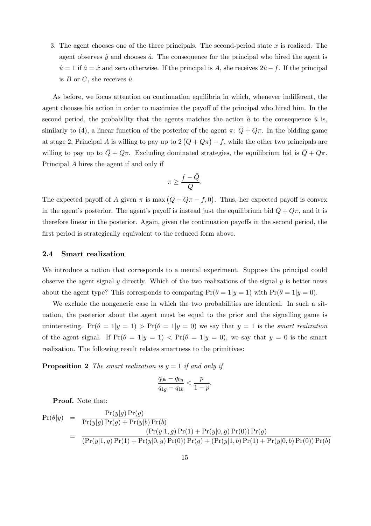3. The agent chooses one of the three principals. The second-period state  $x$  is realized. The agent observes  $\hat{y}$  and chooses  $\hat{a}$ . The consequence for the principal who hired the agent is  $\hat{u} = 1$  if  $\hat{a} = \hat{x}$  and zero otherwise. If the principal is A, she receives  $2\hat{u} - f$ . If the principal is  $B$  or  $C$ , she receives  $\hat{u}$ .

As before, we focus attention on continuation equilibria in which, whenever indifferent, the agent chooses his action in order to maximize the payoff of the principal who hired him. In the second period, the probability that the agents matches the action  $\hat{a}$  to the consequence  $\hat{u}$  is, similarly to (4), a linear function of the posterior of the agent  $\pi: \overline{Q} + Q\pi$ . In the bidding game at stage 2, Principal A is willing to pay up to  $2(\bar{Q}+Q\pi) - f$ , while the other two principals are willing to pay up to  $\overline{Q} + Q\pi$ . Excluding dominated strategies, the equilibrium bid is  $\overline{Q} + Q\pi$ . Principal A hires the agent if and only if

$$
\pi \geq \frac{f - \bar{Q}}{Q}.
$$

The expected payoff of A given  $\pi$  is max  $(\bar{Q} + Q\pi - f, 0)$ . Thus, her expected payoff is convex in the agent's posterior. The agent's payoff is instead just the equilibrium bid  $\bar{Q} + Q\pi$ , and it is therefore linear in the posterior. Again, given the continuation payoffs in the second period, the first period is strategically equivalent to the reduced form above.

#### 2.4 Smart realization

We introduce a notion that corresponds to a mental experiment. Suppose the principal could observe the agent signal y directly. Which of the two realizations of the signal y is better news about the agent type? This corresponds to comparing  $Pr(\theta = 1 | y = 1)$  with  $Pr(\theta = 1 | y = 0)$ .

We exclude the nongeneric case in which the two probabilities are identical. In such a situation, the posterior about the agent must be equal to the prior and the signalling game is uninteresting.  $Pr(\theta = 1 | y = 1) > Pr(\theta = 1 | y = 0)$  we say that  $y = 1$  is the smart realization of the agent signal. If  $Pr(\theta = 1 | y = 1)$  <  $Pr(\theta = 1 | y = 0)$ , we say that  $y = 0$  is the smart realization. The following result relates smartness to the primitives:

**Proposition 2** The smart realization is  $y = 1$  if and only if

$$
\frac{q_{0b} - q_{0g}}{q_{1g} - q_{1b}} < \frac{p}{1 - p}.
$$

Proof. Note that:

$$
Pr(\theta|y) = \frac{Pr(y|g) Pr(g)}{Pr(y|g) Pr(g) + Pr(y|b) Pr(b)}
$$
  
= 
$$
\frac{(Pr(y|1, g) Pr(1) + Pr(y|0, g) Pr(0)) Pr(g)}{(Pr(y|1, g) Pr(1) + Pr(y|0, g) Pr(0)) Pr(g) + (Pr(y|1, b) Pr(1) + Pr(y|0, b) Pr(0)) Pr(b)}
$$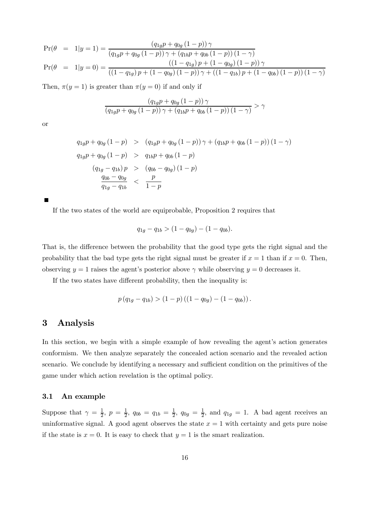$$
Pr(\theta = 1|y=1) = \frac{(q_{1g}p + q_{0g} (1-p)) \gamma}{(q_{1g}p + q_{0g} (1-p)) \gamma + (q_{1b}p + q_{0b} (1-p)) (1-\gamma)}
$$
  
\n
$$
Pr(\theta = 1|y=0) = \frac{((1-q_{1g})p + (1-q_{0g}) (1-p)) \gamma}{((1-q_{1g})p + (1-q_{0g}) (1-p)) \gamma + ((1-q_{1b})p + (1-q_{0b}) (1-p)) (1-\gamma)}
$$

Then,  $\pi(y=1)$  is greater than  $\pi(y=0)$  if and only if

$$
\frac{\left(q_{1g}p+q_{0g}\left(1-p\right)\right)\gamma}{\left(q_{1g}p+q_{0g}\left(1-p\right)\right)\gamma+\left(q_{1b}p+q_{0b}\left(1-p\right)\right)\left(1-\gamma\right)} > \gamma
$$

or

$$
q_{1g}p + q_{0g} (1 - p) > (q_{1g}p + q_{0g} (1 - p)) \gamma + (q_{1b}p + q_{0b} (1 - p)) (1 - \gamma)
$$
  
\n
$$
q_{1g}p + q_{0g} (1 - p) > q_{1b}p + q_{0b} (1 - p)
$$
  
\n
$$
(q_{1g} - q_{1b}) p > (q_{0b} - q_{0g}) (1 - p)
$$
  
\n
$$
\frac{q_{0b} - q_{0g}}{q_{1g} - q_{1b}} < \frac{p}{1 - p}
$$

If the two states of the world are equiprobable, Proposition 2 requires that

$$
q_{1g} - q_{1b} > (1 - q_{0g}) - (1 - q_{0b}).
$$

That is, the difference between the probability that the good type gets the right signal and the probability that the bad type gets the right signal must be greater if  $x = 1$  than if  $x = 0$ . Then, observing  $y = 1$  raises the agent's posterior above  $\gamma$  while observing  $y = 0$  decreases it.

If the two states have different probability, then the inequality is:

$$
p (q_{1g} - q_{1b}) > (1 - p) ((1 - q_{0g}) - (1 - q_{0b})).
$$

### 3 Analysis

In this section, we begin with a simple example of how revealing the agent's action generates conformism. We then analyze separately the concealed action scenario and the revealed action scenario. We conclude by identifying a necessary and sufficient condition on the primitives of the game under which action revelation is the optimal policy.

#### 3.1 An example

Suppose that  $\gamma = \frac{1}{2}$ ,  $p = \frac{1}{2}$ ,  $q_{0b} = q_{1b} = \frac{1}{2}$ ,  $q_{0g} = \frac{1}{2}$ , and  $q_{1g} = 1$ . A bad agent receives an uninformative signal. A good agent observes the state  $x = 1$  with certainty and gets pure noise if the state is  $x = 0$ . It is easy to check that  $y = 1$  is the smart realization.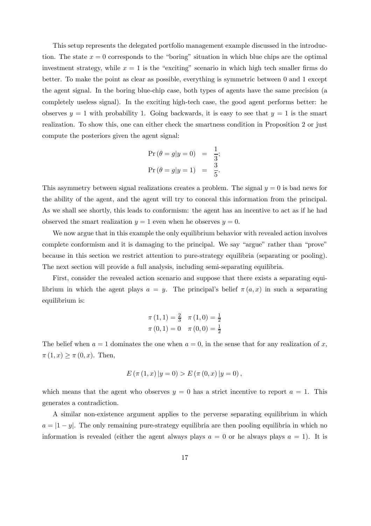This setup represents the delegated portfolio management example discussed in the introduction. The state  $x = 0$  corresponds to the "boring" situation in which blue chips are the optimal investment strategy, while  $x = 1$  is the "exciting" scenario in which high tech smaller firms do better. To make the point as clear as possible, everything is symmetric between 0 and 1 except the agent signal. In the boring blue-chip case, both types of agents have the same precision (a completely useless signal). In the exciting high-tech case, the good agent performs better: he observes  $y = 1$  with probability 1. Going backwards, it is easy to see that  $y = 1$  is the smart realization. To show this, one can either check the smartness condition in Proposition 2 or just compute the posteriors given the agent signal:

$$
\Pr(\theta = g | y = 0) = \frac{1}{3}; \n\Pr(\theta = g | y = 1) = \frac{3}{5}.
$$

This asymmetry between signal realizations creates a problem. The signal  $y = 0$  is bad news for the ability of the agent, and the agent will try to conceal this information from the principal. As we shall see shortly, this leads to conformism: the agent has an incentive to act as if he had observed the smart realization  $y = 1$  even when he observes  $y = 0$ .

We now argue that in this example the only equilibrium behavior with revealed action involves complete conformism and it is damaging to the principal. We say "argue" rather than "prove" because in this section we restrict attention to pure-strategy equilibria (separating or pooling). The next section will provide a full analysis, including semi-separating equilibria.

First, consider the revealed action scenario and suppose that there exists a separating equilibrium in which the agent plays  $a = y$ . The principal's belief  $\pi(a, x)$  in such a separating equilibrium is:

$$
\pi(1, 1) = \frac{2}{3} \quad \pi(1, 0) = \frac{1}{2}
$$

$$
\pi(0, 1) = 0 \quad \pi(0, 0) = \frac{1}{2}
$$

The belief when  $a = 1$  dominates the one when  $a = 0$ , in the sense that for any realization of x,  $\pi(1, x) \geq \pi(0, x)$ . Then,

$$
E(\pi (1, x) | y = 0) > E(\pi (0, x) | y = 0),
$$

which means that the agent who observes  $y = 0$  has a strict incentive to report  $a = 1$ . This generates a contradiction.

A similar non-existence argument applies to the perverse separating equilibrium in which  $a = |1 - y|$ . The only remaining pure-strategy equilibria are then pooling equilibria in which no information is revealed (either the agent always plays  $a = 0$  or he always plays  $a = 1$ ). It is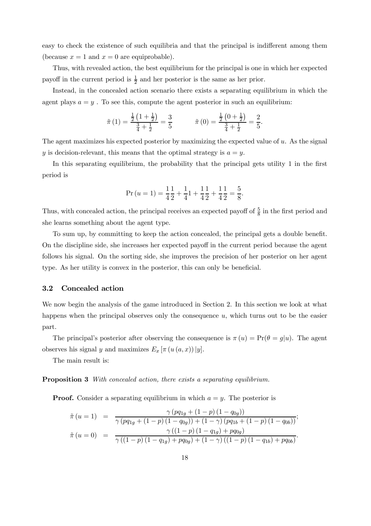easy to check the existence of such equilibria and that the principal is indifferent among them (because  $x = 1$  and  $x = 0$  are equiprobable).

Thus, with revealed action, the best equilibrium for the principal is one in which her expected payoff in the current period is  $\frac{1}{2}$  and her posterior is the same as her prior.

Instead, in the concealed action scenario there exists a separating equilibrium in which the agent plays  $a = y$ . To see this, compute the agent posterior in such an equilibrium:

$$
\tilde{\pi}(1) = \frac{\frac{1}{2}\left(1 + \frac{1}{2}\right)}{\frac{3}{4} + \frac{1}{2}} = \frac{3}{5}
$$
  $\tilde{\pi}(0) = \frac{\frac{1}{2}\left(0 + \frac{1}{2}\right)}{\frac{3}{4} + \frac{1}{2}} = \frac{2}{5}.$ 

The agent maximizes his expected posterior by maximizing the expected value of  $u$ . As the signal y is decision-relevant, this means that the optimal strategy is  $a = y$ .

In this separating equilibrium, the probability that the principal gets utility 1 in the first period is

$$
Pr (u = 1) = \frac{1}{4} \frac{1}{2} + \frac{1}{4} \frac{1}{4} + \frac{1}{4} \frac{1}{2} + \frac{1}{4} \frac{1}{2} = \frac{5}{8}.
$$

Thus, with concealed action, the principal receives an expected payoff of  $\frac{5}{8}$  in the first period and she learns something about the agent type.

To sum up, by committing to keep the action concealed, the principal gets a double benefit. On the discipline side, she increases her expected payoff in the current period because the agent follows his signal. On the sorting side, she improves the precision of her posterior on her agent type. As her utility is convex in the posterior, this can only be beneficial.

#### 3.2 Concealed action

We now begin the analysis of the game introduced in Section 2. In this section we look at what happens when the principal observes only the consequence u, which turns out to be the easier part.

The principal's posterior after observing the consequence is  $\pi(u) = Pr(\theta = g|u)$ . The agent observes his signal y and maximizes  $E_x \left[ \pi \left( u \left( a, x \right) \right) | y \right]$ .

The main result is:

**Proposition 3** With concealed action, there exists a separating equilibrium.

**Proof.** Consider a separating equilibrium in which  $a = y$ . The posterior is

$$
\tilde{\pi}(u=1) = \frac{\gamma (pq_{1g} + (1-p) (1-q_{0g}))}{\gamma (pq_{1g} + (1-p) (1-q_{0g})) + (1-\gamma) (pq_{1b} + (1-p) (1-q_{0b}))};
$$
  

$$
\tilde{\pi}(u=0) = \frac{\gamma ((1-p) (1-q_{1g}) + pq_{0g})}{\gamma ((1-p) (1-q_{1g}) + pq_{0g}) + (1-\gamma) ((1-p) (1-q_{1b}) + pq_{0b})}.
$$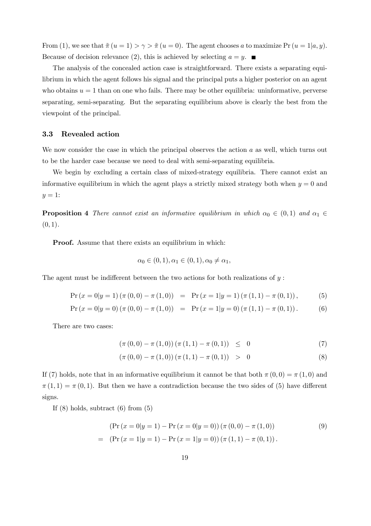From (1), we see that  $\tilde{\pi}(u=1) > \gamma > \tilde{\pi}(u=0)$ . The agent chooses a to maximize Pr  $(u=1|a, y)$ . Because of decision relevance (2), this is achieved by selecting  $a = y$ .

The analysis of the concealed action case is straightforward. There exists a separating equilibrium in which the agent follows his signal and the principal puts a higher posterior on an agent who obtains  $u = 1$  than on one who fails. There may be other equilibria: uninformative, perverse separating, semi-separating. But the separating equilibrium above is clearly the best from the viewpoint of the principal.

#### 3.3 Revealed action

We now consider the case in which the principal observes the action  $a$  as well, which turns out to be the harder case because we need to deal with semi-separating equilibria.

We begin by excluding a certain class of mixed-strategy equilibria. There cannot exist an informative equilibrium in which the agent plays a strictly mixed strategy both when  $y = 0$  and  $y=1$ :

**Proposition 4** There cannot exist an informative equilibrium in which  $\alpha_0 \in (0,1)$  and  $\alpha_1 \in$  $(0, 1)$ .

Proof. Assume that there exists an equilibrium in which:

$$
\alpha_0 \in (0, 1), \alpha_1 \in (0, 1), \alpha_0 \neq \alpha_1,
$$

The agent must be indifferent between the two actions for both realizations of  $y$ :

$$
Pr(x = 0|y = 1) (\pi (0, 0) - \pi (1, 0)) = Pr(x = 1|y = 1) (\pi (1, 1) - \pi (0, 1)),
$$
 (5)

$$
Pr(x = 0|y = 0) (\pi (0, 0) - \pi (1, 0)) = Pr(x = 1|y = 0) (\pi (1, 1) - \pi (0, 1)).
$$
 (6)

There are two cases:

$$
(\pi(0,0) - \pi(1,0))(\pi(1,1) - \pi(0,1)) \leq 0
$$
\n(7)

$$
(\pi(0,0) - \pi(1,0))(\pi(1,1) - \pi(0,1)) > 0
$$
\n(8)

If (7) holds, note that in an informative equilibrium it cannot be that both  $\pi(0,0) = \pi(1,0)$  and  $\pi(1,1) = \pi(0,1)$ . But then we have a contradiction because the two sides of (5) have different signs.

If  $(8)$  holds, subtract  $(6)$  from  $(5)$ 

$$
(\Pr(x = 0|y = 1) - \Pr(x = 0|y = 0)) (\pi (0, 0) - \pi (1, 0))
$$
\n
$$
= (\Pr(x = 1|y = 1) - \Pr(x = 1|y = 0)) (\pi (1, 1) - \pi (0, 1)).
$$
\n(9)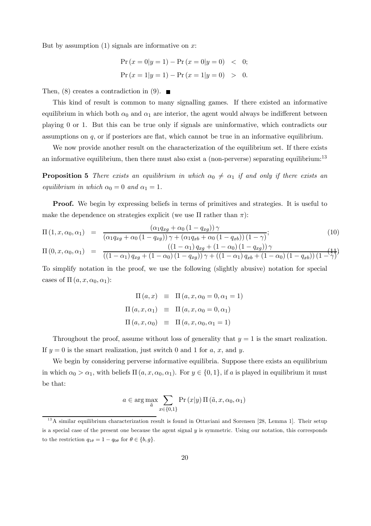But by assumption  $(1)$  signals are informative on x:

$$
\Pr(x = 0|y = 1) - \Pr(x = 0|y = 0) < 0;
$$
\n
$$
\Pr(x = 1|y = 1) - \Pr(x = 1|y = 0) > 0.
$$

Then, (8) creates a contradiction in (9).  $\blacksquare$ 

This kind of result is common to many signalling games. If there existed an informative equilibrium in which both  $\alpha_0$  and  $\alpha_1$  are interior, the agent would always be indifferent between playing 0 or 1. But this can be true only if signals are uninformative, which contradicts our assumptions on  $q$ , or if posteriors are flat, which cannot be true in an informative equilibrium.

We now provide another result on the characterization of the equilibrium set. If there exists an informative equilibrium, then there must also exist a (non-perverse) separating equilibrium:<sup>13</sup>

**Proposition 5** There exists an equilibrium in which  $\alpha_0 \neq \alpha_1$  if and only if there exists an equilibrium in which  $\alpha_0 = 0$  and  $\alpha_1 = 1$ .

Proof. We begin by expressing beliefs in terms of primitives and strategies. It is useful to make the dependence on strategies explicit (we use  $\Pi$  rather than  $\pi$ ):

$$
\Pi(1, x, \alpha_0, \alpha_1) = \frac{(\alpha_1 q_{xg} + \alpha_0 (1 - q_{xg})) \gamma}{(\alpha_1 q_{xg} + \alpha_0 (1 - q_{xg})) \gamma + (\alpha_1 q_{xb} + \alpha_0 (1 - q_{xb})) (1 - \gamma)};
$$
\n
$$
\Pi(0, x, \alpha_0, \alpha_1) = \frac{((1 - \alpha_1) q_{xg} + (1 - \alpha_0) (1 - q_{xg})) \gamma}{((1 - \alpha_1) q_{xg} + (1 - \alpha_0) (1 - q_{xg})) \gamma + ((1 - \alpha_1) q_{xb} + (1 - \alpha_0) (1 - q_{xb})) (1 - \gamma)};
$$
\n(10)

To simplify notation in the proof, we use the following (slightly abusive) notation for special cases of  $\Pi(a, x, \alpha_0, \alpha_1)$ :

$$
\Pi(a, x) \equiv \Pi(a, x, \alpha_0 = 0, \alpha_1 = 1)
$$
  

$$
\Pi(a, x, \alpha_1) \equiv \Pi(a, x, \alpha_0 = 0, \alpha_1)
$$
  

$$
\Pi(a, x, \alpha_0) \equiv \Pi(a, x, \alpha_0, \alpha_1 = 1)
$$

Throughout the proof, assume without loss of generality that  $y = 1$  is the smart realization. If  $y = 0$  is the smart realization, just switch 0 and 1 for a, x, and y.

We begin by considering perverse informative equilibria. Suppose there exists an equilibrium in which  $\alpha_0 > \alpha_1$ , with beliefs  $\Pi(a, x, \alpha_0, \alpha_1)$ . For  $y \in \{0, 1\}$ , if a is played in equilibrium it must be that:

$$
a\in\arg\max_{\tilde{a}}\sum_{x\in\{0,1\}}\Pr\left(x|y\right)\Pi\left(\tilde{a},x,\alpha_0,\alpha_1\right)
$$

 $13A$  similar equilibrium characterization result is found in Ottaviani and Sorensen [28, Lemma 1]. Their setup is a special case of the present one because the agent signal y is symmetric. Using our notation, this corresponds to the restriction  $q_{1\theta} = 1 - q_{0\theta}$  for  $\theta \in \{b, g\}.$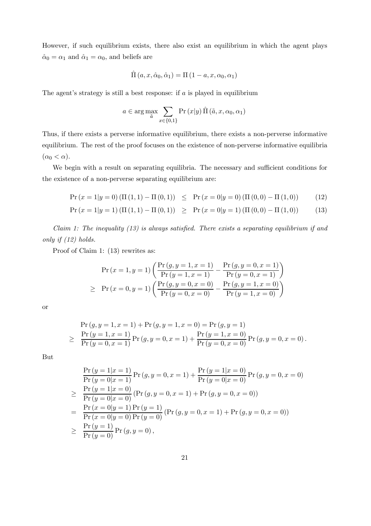However, if such equilibrium exists, there also exist an equilibrium in which the agent plays  $\hat{\alpha}_0 = \alpha_1$  and  $\hat{\alpha}_1 = \alpha_0$ , and beliefs are

$$
\hat{\Pi}(a, x, \hat{\alpha}_0, \hat{\alpha}_1) = \Pi(1 - a, x, \alpha_0, \alpha_1)
$$

The agent's strategy is still a best response: if  $\alpha$  is played in equilibrium

$$
a \in \arg \max_{\tilde{a}} \sum_{x \in \{0,1\}} \Pr(x|y) \prod_{i} (\tilde{a}, x, \alpha_0, \alpha_1)
$$

Thus, if there exists a perverse informative equilibrium, there exists a non-perverse informative equilibrium. The rest of the proof focuses on the existence of non-perverse informative equilibria  $(\alpha_0 < \alpha).$ 

We begin with a result on separating equilibria. The necessary and sufficient conditions for the existence of a non-perverse separating equilibrium are:

$$
Pr(x = 1|y = 0) (\Pi(1, 1) - \Pi(0, 1)) \leq Pr(x = 0|y = 0) (\Pi(0, 0) - \Pi(1, 0))
$$
\n(12)

$$
Pr(x = 1|y = 1) (\Pi(1, 1) - \Pi(0, 1)) \ge Pr(x = 0|y = 1) (\Pi(0, 0) - \Pi(1, 0))
$$
 (13)

Claim 1: The inequality (13) is always satisfied. There exists a separating equilibrium if and only if (12) holds.

Proof of Claim 1: (13) rewrites as:

$$
\Pr(x = 1, y = 1) \left( \frac{\Pr(g, y = 1, x = 1)}{\Pr(y = 1, x = 1)} - \frac{\Pr(g, y = 0, x = 1)}{\Pr(y = 0, x = 1)} \right)
$$
  
\n
$$
\geq \Pr(x = 0, y = 1) \left( \frac{\Pr(g, y = 0, x = 0)}{\Pr(y = 0, x = 0)} - \frac{\Pr(g, y = 1, x = 0)}{\Pr(y = 1, x = 0)} \right)
$$

or

$$
\Pr(g, y = 1, x = 1) + \Pr(g, y = 1, x = 0) = \Pr(g, y = 1)
$$
\n
$$
\geq \frac{\Pr(y = 1, x = 1)}{\Pr(y = 0, x = 1)} \Pr(g, y = 0, x = 1) + \frac{\Pr(y = 1, x = 0)}{\Pr(y = 0, x = 0)} \Pr(g, y = 0, x = 0).
$$

But

$$
\frac{\Pr(y=1|x=1)}{\Pr(y=0|x=1)} \Pr(y,y=0,x=1) + \frac{\Pr(y=1|x=0)}{\Pr(y=0|x=0)} \Pr(y,y=0,x=0)
$$
\n
$$
\geq \frac{\Pr(y=1|x=0)}{\Pr(y=0|x=0)} (\Pr(y,y=0,x=1) + \Pr(y,y=0,x=0))
$$
\n
$$
= \frac{\Pr(x=0|y=1) \Pr(y=1)}{\Pr(x=0|y=0) \Pr(y=0)} (\Pr(y,y=0,x=1) + \Pr(y,y=0,x=0))
$$
\n
$$
\geq \frac{\Pr(y=1)}{\Pr(y=0)} \Pr(y,y=0),
$$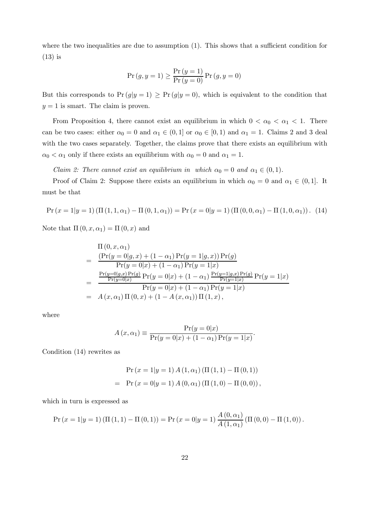where the two inequalities are due to assumption (1). This shows that a sufficient condition for (13) is

$$
Pr(g, y = 1) \ge \frac{Pr(y = 1)}{Pr(y = 0)} Pr(g, y = 0)
$$

But this corresponds to  $Pr(g|y=1) \geq Pr(g|y=0)$ , which is equivalent to the condition that  $y = 1$  is smart. The claim is proven.

From Proposition 4, there cannot exist an equilibrium in which  $0 < \alpha_0 < \alpha_1 < 1$ . There can be two cases: either  $\alpha_0 = 0$  and  $\alpha_1 \in (0,1]$  or  $\alpha_0 \in [0,1)$  and  $\alpha_1 = 1$ . Claims 2 and 3 deal with the two cases separately. Together, the claims prove that there exists an equilibrium with  $\alpha_0 < \alpha_1$  only if there exists an equilibrium with  $\alpha_0 = 0$  and  $\alpha_1 = 1$ .

Claim 2: There cannot exist an equilibrium in which  $\alpha_0 = 0$  and  $\alpha_1 \in (0,1)$ .

Proof of Claim 2: Suppose there exists an equilibrium in which  $\alpha_0 = 0$  and  $\alpha_1 \in (0,1]$ . It must be that

$$
\Pr(x = 1|y = 1) (\Pi(1, 1, \alpha_1) - \Pi(0, 1, \alpha_1)) = \Pr(x = 0|y = 1) (\Pi(0, 0, \alpha_1) - \Pi(1, 0, \alpha_1))
$$
 (14)

Note that  $\Pi(0, x, \alpha_1) = \Pi(0, x)$  and

$$
\begin{split}\n&\Pi(0,x,\alpha_{1}) \\
&= \frac{\left(\Pr(y=0|g,x) + (1-\alpha_{1})\Pr(y=1|g,x)\right)\Pr(g)}{\Pr(y=0|x) + (1-\alpha_{1})\Pr(y=1|x)} \\
&= \frac{\frac{\Pr(y=0|g,x)\Pr(g)}{\Pr(y=0|x)}\Pr(y=0|x) + (1-\alpha_{1})\frac{\Pr(y=1|g,x)\Pr(g)}{\Pr(y=1|x)}\Pr(y=1|x)}{\Pr(y=0|x) + (1-\alpha_{1})\Pr(y=1|x)} \\
&= A(x,\alpha_{1})\Pi(0,x) + (1-A(x,\alpha_{1}))\Pi(1,x),\n\end{split}
$$

where

$$
A(x, \alpha_1) \equiv \frac{\Pr(y=0|x)}{\Pr(y=0|x) + (1-\alpha_1)\Pr(y=1|x)}.
$$

Condition (14) rewrites as

$$
\Pr(x = 1|y = 1) A (1, \alpha_1) (\Pi (1, 1) - \Pi (0, 1))
$$

$$
= \Pr(x = 0|y = 1) A (0, \alpha_1) (\Pi (1, 0) - \Pi (0, 0)),
$$

which in turn is expressed as

$$
\Pr(x = 1|y = 1) (\Pi(1, 1) - \Pi(0, 1)) = \Pr(x = 0|y = 1) \frac{A(0, \alpha_1)}{A(1, \alpha_1)} (\Pi(0, 0) - \Pi(1, 0)).
$$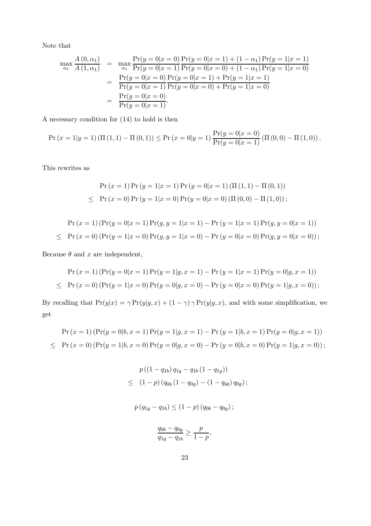Note that

$$
\max_{\alpha_1} \frac{A(0, \alpha_1)}{A(1, \alpha_1)} = \max_{\alpha_1} \frac{\Pr(y = 0 | x = 0)}{\Pr(y = 0 | x = 1)} \frac{\Pr(y = 0 | x = 1) + (1 - \alpha_1) \Pr(y = 1 | x = 1)}{\Pr(y = 0 | x = 0) + (1 - \alpha_1) \Pr(y = 1 | x = 0)} \n= \frac{\Pr(y = 0 | x = 0)}{\Pr(y = 0 | x = 1)} \frac{\Pr(y = 0 | x = 1) + \Pr(y = 1 | x = 1)}{\Pr(y = 0 | x = 0) + \Pr(y = 1 | x = 0)} \n= \frac{\Pr(y = 0 | x = 0)}{\Pr(y = 0 | x = 1)}.
$$

A necessary condition for (14) to hold is then

$$
\Pr(x = 1|y = 1) (\Pi(1, 1) - \Pi(0, 1)) \le \Pr(x = 0|y = 1) \frac{\Pr(y = 0|x = 0)}{\Pr(y = 0|x = 1)} (\Pi(0, 0) - \Pi(1, 0)).
$$

This rewrites as

$$
\Pr(x=1)\Pr(y=1|x=1)\Pr(y=0|x=1) \left(\Pi(1,1) - \Pi(0,1)\right)
$$
  
\n
$$
\leq \Pr(x=0)\Pr(y=1|x=0)\Pr(y=0|x=0) \left(\Pi(0,0) - \Pi(1,0)\right);
$$

$$
\Pr(x=1) \left( \Pr(y=0|x=1) \Pr(y,y=1|x=1) - \Pr(y=1|x=1) \Pr(y,y=0|x=1) \right) \\
 \leq \Pr(x=0) \left( \Pr(y=1|x=0) \Pr(y,y=1|x=0) - \Pr(y=0|x=0) \Pr(y,y=0|x=0) \right);
$$

Because  $\theta$  and  $x$  are independent,

$$
\Pr(x=1) \left( \Pr(y=0|x=1) \Pr(y=1|g, x=1) - \Pr(y=1|x=1) \Pr(y=0|g, x=1) \right)
$$
  
\n
$$
\leq \Pr(x=0) \left( \Pr(y=1|x=0) \Pr(y=0|g, x=0) - \Pr(y=0|x=0) \Pr(y=1|g, x=0) \right);
$$

By recalling that  $Pr(y|x) = \gamma Pr(y|g, x) + (1 - \gamma) \gamma Pr(y|g, x)$ , and with some simplification, we get

$$
\Pr(x=1) \left( \Pr(y=0|b, x=1) \Pr(y=1|g, x=1) - \Pr(y=1|b, x=1) \Pr(y=0|g, x=1) \right)
$$
  
\n
$$
\leq \Pr(x=0) \left( \Pr(y=1|b, x=0) \Pr(y=0|g, x=0) - \Pr(y=0|b, x=0) \Pr(y=1|g, x=0) \right);
$$

$$
p((1 - q_{1b}) q_{1g} - q_{1b} (1 - q_{1g}))
$$
  
\n
$$
\leq (1 - p) (q_{0b} (1 - q_{0g}) - (1 - q_{b0}) q_{0g});
$$

$$
p(q_{1g} - q_{1b}) \le (1 - p)(q_{0b} - q_{0g})
$$
;

$$
\frac{q_{0b} - q_{0g}}{q_{1g} - q_{1b}} \ge \frac{p}{1 - p},
$$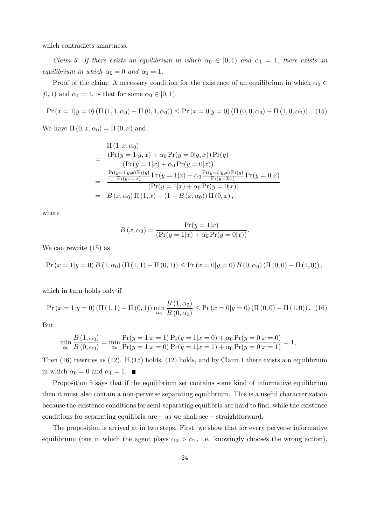which contradicts smartness.

Claim 3: If there exists an equilibrium in which  $\alpha_0 \in [0,1)$  and  $\alpha_1 = 1$ , there exists an equilibrium in which  $\alpha_0 = 0$  and  $\alpha_1 = 1$ .

Proof of the claim: A necessary condition for the existence of an equilibrium in which  $\alpha_0 \in$  $[0, 1)$  and  $\alpha_1 = 1$ , is that for some  $\alpha_0 \in [0, 1)$ ,

$$
\Pr(x = 1|y = 0) (\Pi(1, 1, \alpha_0) - \Pi(0, 1, \alpha_0)) \le \Pr(x = 0|y = 0) (\Pi(0, 0, \alpha_0) - \Pi(1, 0, \alpha_0))
$$
 (15)

We have  $\Pi(0, x, \alpha_0) = \Pi(0, x)$  and

$$
\Pi(1, x, \alpha_0) \n= \frac{(\Pr(y = 1 | g, x) + \alpha_0 \Pr(y = 0 | g, x)) \Pr(g)}{(\Pr(y = 1 | x) + \alpha_0 \Pr(y = 0 | x))} \n= \frac{\frac{\Pr(y = 1 | g, x) \Pr(g)}{\Pr(y = 1 | x)} \Pr(y = 1 | x) + \alpha_0 \frac{\Pr(y = 0 | g, x) \Pr(g)}{\Pr(y = 0 | x)} \Pr(y = 0 | x)}{(\Pr(y = 1 | x) + \alpha_0 \Pr(y = 0 | x))} \n= B(x, \alpha_0) \Pi(1, x) + (1 - B(x, \alpha_0)) \Pi(0, x),
$$

where

$$
B(x, \alpha_0) = \frac{\Pr(y = 1|x)}{(\Pr(y = 1|x) + \alpha_0 \Pr(y = 0|x))}.
$$

We can rewrite (15) as

$$
\Pr(x = 1|y = 0) B(1, \alpha_0) (\Pi(1, 1) - \Pi(0, 1)) \le \Pr(x = 0|y = 0) B(0, \alpha_0) (\Pi(0, 0) - \Pi(1, 0)),
$$

which in turn holds only if

$$
\Pr(x = 1|y = 0) \left( \Pi\left(1, 1\right) - \Pi\left(0, 1\right) \right) \min_{\alpha_0} \frac{B\left(1, \alpha_0\right)}{B\left(0, \alpha_0\right)} \le \Pr\left(x = 0|y = 0\right) \left( \Pi\left(0, 0\right) - \Pi\left(1, 0\right) \right). \tag{16}
$$

But

$$
\min_{\alpha_0} \frac{B(1,\alpha_0)}{B(0,\alpha_0)} = \min_{\alpha_0} \frac{\Pr(y=1|x=1)}{\Pr(y=1|x=0)} \frac{\Pr(y=1|x=0) + \alpha_0 \Pr(y=0|x=0)}{\Pr(y=1|x=1) + \alpha_0 \Pr(y=0|x=1)} = 1,
$$

Then (16) rewrites as (12). If (15) holds, (12) holds, and by Claim 1 there exists a n equilibrium in which  $\alpha_0 = 0$  and  $\alpha_1 = 1$ .

Proposition 5 says that if the equilibrium set contains some kind of informative equilibrium then it must also contain a non-perverse separating equilibrium. This is a useful characterization because the existence conditions for semi-separating equilibria are hard to find, while the existence conditions for separating equilibria are  $-$  as we shall see  $-$  straightforward.

The proposition is arrived at in two steps. First, we show that for every perverse informative equilibrium (one in which the agent plays  $\alpha_0 > \alpha_1$ , i.e. knowingly chooses the wrong action),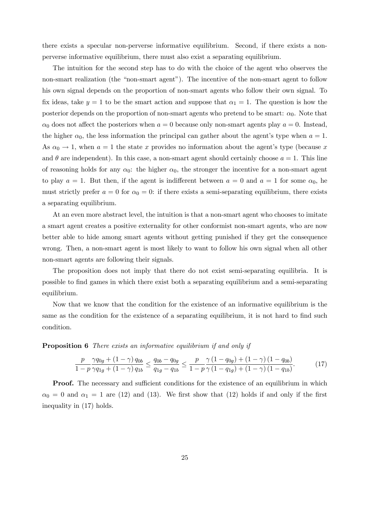there exists a specular non-perverse informative equilibrium. Second, if there exists a nonperverse informative equilibrium, there must also exist a separating equilibrium.

The intuition for the second step has to do with the choice of the agent who observes the non-smart realization (the "non-smart agent"). The incentive of the non-smart agent to follow his own signal depends on the proportion of non-smart agents who follow their own signal. To fix ideas, take  $y = 1$  to be the smart action and suppose that  $\alpha_1 = 1$ . The question is how the posterior depends on the proportion of non-smart agents who pretend to be smart:  $\alpha_0$ . Note that  $\alpha_0$  does not affect the posteriors when  $a = 0$  because only non-smart agents play  $a = 0$ . Instead, the higher  $\alpha_0$ , the less information the principal can gather about the agent's type when  $a = 1$ . As  $\alpha_0 \rightarrow 1$ , when  $a = 1$  the state x provides no information about the agent's type (because x and  $\theta$  are independent). In this case, a non-smart agent should certainly choose  $a = 1$ . This line of reasoning holds for any  $\alpha_0$ : the higher  $\alpha_0$ , the stronger the incentive for a non-smart agent to play  $a = 1$ . But then, if the agent is indifferent between  $a = 0$  and  $a = 1$  for some  $\alpha_0$ , he must strictly prefer  $a = 0$  for  $\alpha_0 = 0$ : if there exists a semi-separating equilibrium, there exists a separating equilibrium.

At an even more abstract level, the intuition is that a non-smart agent who chooses to imitate a smart agent creates a positive externality for other conformist non-smart agents, who are now better able to hide among smart agents without getting punished if they get the consequence wrong. Then, a non-smart agent is most likely to want to follow his own signal when all other non-smart agents are following their signals.

The proposition does not imply that there do not exist semi-separating equilibria. It is possible to find games in which there exist both a separating equilibrium and a semi-separating equilibrium.

Now that we know that the condition for the existence of an informative equilibrium is the same as the condition for the existence of a separating equilibrium, it is not hard to find such condition.

**Proposition 6** There exists an informative equilibrium if and only if

$$
\frac{p}{1-p} \frac{\gamma q_{0g} + (1-\gamma) q_{0b}}{\gamma q_{1g} + (1-\gamma) q_{1b}} \le \frac{q_{0b} - q_{0g}}{q_{1g} - q_{1b}} \le \frac{p}{1-p} \frac{\gamma (1-q_{0g}) + (1-\gamma) (1-q_{0b})}{\gamma (1-q_{1g}) + (1-\gamma) (1-q_{1b})}.
$$
(17)

**Proof.** The necessary and sufficient conditions for the existence of an equilibrium in which  $\alpha_0 = 0$  and  $\alpha_1 = 1$  are (12) and (13). We first show that (12) holds if and only if the first inequality in (17) holds.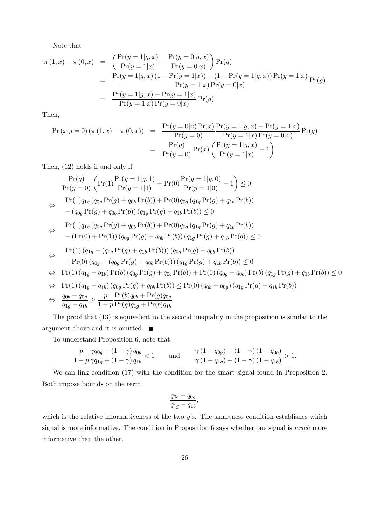Note that

$$
\pi(1,x) - \pi(0,x) = \left(\frac{\Pr(y=1|g,x)}{\Pr(y=1|x)} - \frac{\Pr(y=0|g,x)}{\Pr(y=0|x)}\right) \Pr(g)
$$
  
= 
$$
\frac{\Pr(y=1|g,x) (1 - \Pr(y=1|x)) - (1 - \Pr(y=1|g,x)) \Pr(y=1|x)}{\Pr(y=1|x) \Pr(y=0|x)} \Pr(g)
$$
  
= 
$$
\frac{\Pr(y=1|g,x) - \Pr(y=1|x)}{\Pr(y=1|x) \Pr(y=0|x)} \Pr(g)
$$

Then,

$$
\begin{aligned} \Pr(x|y=0) \, (\pi \, (1,x) - \pi \, (0,x)) &= \frac{\Pr(y=0|x) \Pr(x)}{\Pr(y=0)} \frac{\Pr(y=1|g,x) - \Pr(y=1|x)}{\Pr(y=1|x) \Pr(y=0|x)} \Pr(g) \\ &= \frac{\Pr(g)}{\Pr(y=0)} \Pr(x) \left( \frac{\Pr(y=1|g,x)}{\Pr(y=1|x)} - 1 \right) \end{aligned}
$$

Then, (12) holds if and only if

$$
\frac{\Pr(g)}{\Pr(y=0)} \left( \Pr(1) \frac{\Pr(y=1|g,1)}{\Pr(y=1|1)} + \Pr(0) \frac{\Pr(y=1|g,0)}{\Pr(y=1|0)} - 1 \right) \le 0
$$
\n
$$
\Leftrightarrow \Pr(1) q_{1g} (q_{0g} \Pr(g) + q_{0b} \Pr(b)) + \Pr(0) q_{0g} (q_{1g} \Pr(g) + q_{1b} \Pr(b))
$$
\n
$$
- (q_{0g} \Pr(g) + q_{0b} \Pr(b)) (q_{1g} \Pr(g) + q_{1b} \Pr(b)) \le 0
$$
\n
$$
\Leftrightarrow \Pr(1) q_{1g} (q_{0g} \Pr(g) + q_{0b} \Pr(b)) + \Pr(0) q_{0g} (q_{1g} \Pr(g) + q_{1b} \Pr(b))
$$
\n
$$
- (\Pr(0) + \Pr(1)) (q_{0g} \Pr(g) + q_{0b} \Pr(b)) (q_{1g} \Pr(g) + q_{1b} \Pr(b)) \le 0
$$
\n
$$
\Leftrightarrow \Pr(1) (q_{1g} - (q_{1g} \Pr(g) + q_{1b} \Pr(b))) (q_{0g} \Pr(g) + q_{0b} \Pr(b))
$$
\n
$$
+ \Pr(0) (q_{0g} - (q_{0g} \Pr(g) + q_{0b} \Pr(b))) (q_{1g} \Pr(g) + q_{1b} \Pr(b)) \le 0
$$
\n
$$
\Leftrightarrow \Pr(1) (q_{1g} - q_{1b}) \Pr(b) (q_{0g} \Pr(g) + q_{0b} \Pr(b)) + \Pr(0) (q_{0g} - q_{0b}) \Pr(b) (q_{1g} \Pr(g) + q_{1b} \Pr(b)) \le 0
$$
\n
$$
\Leftrightarrow \Pr(1) (q_{1g} - q_{1b}) (\frac{q_{0g}}{q_{1g}} \Pr(g) + q_{0b} \Pr(b)) \le \Pr(0) (q_{0b} - q_{0g}) (q_{1g} \Pr(g) + q_{1b} \Pr(b))
$$
\n
$$
\Leftrightarrow \frac{q_{0b} - q_{0g}}{q_{1g} - q_{1b}} \ge \frac{p}{1 - p} \frac{\Pr(b) q_{0b} + \Pr(g) q_{0g}}{ \Pr(g) + \Pr(b
$$

The proof that (13) is equivalent to the second inequality in the proposition is similar to the argument above and it is omitted.  $\blacksquare$ 

To understand Proposition 6, note that

$$
\frac{p}{1-p} \frac{\gamma q_{0g} + (1-\gamma) q_{0b}}{\gamma q_{1g} + (1-\gamma) q_{1b}} < 1 \quad \text{and} \quad \frac{\gamma (1-q_{0g}) + (1-\gamma) (1-q_{0b})}{\gamma (1-q_{1g}) + (1-\gamma) (1-q_{1b})} > 1.
$$

We can link condition (17) with the condition for the smart signal found in Proposition 2. Both impose bounds on the term

$$
\frac{q_{0b}-q_{0g}}{q_{1g}-q_{1b}},
$$

which is the relative informativeness of the two  $y$ 's. The smartness condition establishes which signal is more informative. The condition in Proposition 6 says whether one signal is *much* more informative than the other.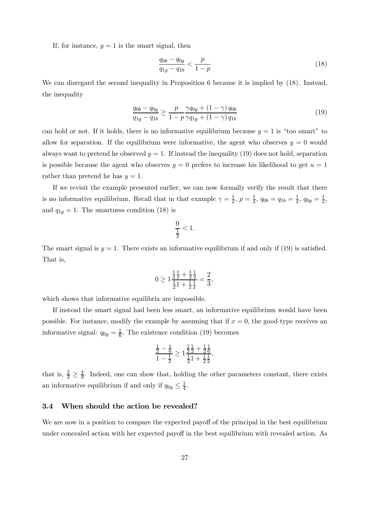If, for instance,  $y = 1$  is the smart signal, then

$$
\frac{q_{0b} - q_{0g}}{q_{1g} - q_{1b}} < \frac{p}{1 - p} \tag{18}
$$

We can disregard the second inequality in Proposition 6 because it is implied by  $(18)$ . Instead, the inequality

$$
\frac{q_{0b} - q_{0g}}{q_{1g} - q_{1b}} \ge \frac{p}{1 - p} \frac{\gamma q_{0g} + (1 - \gamma) q_{0b}}{\gamma q_{1g} + (1 - \gamma) q_{1b}}\tag{19}
$$

can hold or not. If it holds, there is no informative equilibrium because  $y = 1$  is "too smart" to allow for separation. If the equilibrium were informative, the agent who observes  $y = 0$  would always want to pretend he observed  $y = 1$ . If instead the inequality (19) does not hold, separation is possible because the agent who observes  $y = 0$  prefers to increase his likelihood to get  $u = 1$ rather than pretend he has  $y = 1$ .

If we revisit the example presented earlier, we can now formally verify the result that there is no informative equilibrium. Recall that in that example  $\gamma = \frac{1}{2}$ ,  $p = \frac{1}{2}$ ,  $q_{0b} = q_{1b} = \frac{1}{2}$ ,  $q_{0g} = \frac{1}{2}$ , and  $q_{1g} = 1$ . The smartness condition (18) is

$$
\frac{0}{\frac{1}{2}} < 1.
$$

The smart signal is  $y = 1$ . There exists an informative equilibrium if and only if (19) is satisfied. That is,

$$
0 \ge 1 \frac{\frac{1}{2} \frac{1}{2} + \frac{1}{2} \frac{1}{2}}{\frac{1}{2} \cdot 1 + \frac{1}{2} \frac{1}{2}} = \frac{2}{3},
$$

which shows that informative equilibria are impossible.

If instead the smart signal had been less smart, an informative equilibrium would have been possible. For instance, modify the example by assuming that if  $x = 0$ , the good type receives an informative signal:  $q_{0g} = \frac{1}{6}$ . The existence condition (19) becomes

$$
\frac{\frac{1}{2}-\frac{1}{6}}{1-\frac{1}{2}}\geq 1\frac{\frac{1}{2}\frac{1}{2}+\frac{1}{2}\frac{1}{6}}{\frac{1}{2}1+\frac{1}{2}\frac{1}{2}},
$$

that is,  $\frac{2}{3} \geq \frac{4}{9}$ . Indeed, one can show that, holding the other parameters constant, there exists an informative equilibrium if and only if  $q_{0g} \leq \frac{1}{4}$ .

#### 3.4 When should the action be revealed?

We are now in a position to compare the expected payoff of the principal in the best equilibrium under concealed action with her expected payoff in the best equilibrium with revealed action. As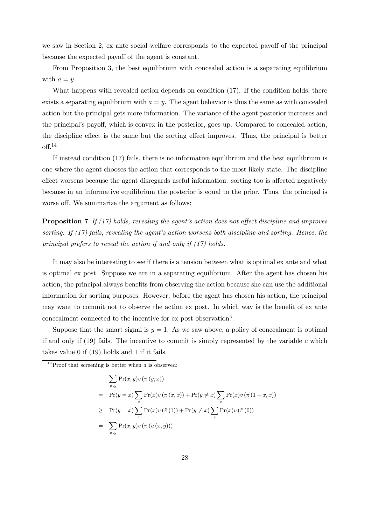we saw in Section 2, ex ante social welfare corresponds to the expected payoff of the principal because the expected payoff of the agent is constant.

From Proposition 3, the best equilibrium with concealed action is a separating equilibrium with  $a = u$ .

What happens with revealed action depends on condition (17). If the condition holds, there exists a separating equilibrium with  $a = y$ . The agent behavior is thus the same as with concealed action but the principal gets more information. The variance of the agent posterior increases and the principal's payoff, which is convex in the posterior, goes up. Compared to concealed action, the discipline effect is the same but the sorting effect improves. Thus, the principal is better off. 14

If instead condition (17) fails, there is no informative equilibrium and the best equilibrium is one where the agent chooses the action that corresponds to the most likely state. The discipline effect worsens because the agent disregards useful information. sorting too is affected negatively because in an informative equilibrium the posterior is equal to the prior. Thus, the principal is worse off. We summarize the argument as follows:

**Proposition 7** If  $(17)$  holds, revealing the agent's action does not affect discipline and improves sorting. If  $(17)$  fails, revealing the agent's action worsens both discipline and sorting. Hence, the principal prefers to reveal the action if and only if (17) holds.

It may also be interesting to see if there is a tension between what is optimal ex ante and what is optimal ex post. Suppose we are in a separating equilibrium. After the agent has chosen his action, the principal always benefits from observing the action because she can use the additional information for sorting purposes. However, before the agent has chosen his action, the principal may want to commit not to observe the action ex post. In which way is the benefit of ex ante concealment connected to the incentive for ex post observation?

Suppose that the smart signal is  $y = 1$ . As we saw above, a policy of concealment is optimal if and only if  $(19)$  fails. The incentive to commit is simply represented by the variable c which takes value 0 if (19) holds and 1 if it fails.

$$
\sum_{x,y} \Pr(x,y)v(\pi(y,x))
$$
\n
$$
= \Pr(y=x) \sum_{x} \Pr(x)v(\pi(x,x)) + \Pr(y \neq x) \sum_{x} \Pr(x)v(\pi(1-x,x))
$$
\n
$$
\geq \Pr(y=x) \sum_{x} \Pr(x)v(\tilde{\pi}(1)) + \Pr(y \neq x) \sum_{x} \Pr(x)v(\tilde{\pi}(0))
$$
\n
$$
= \sum_{x,y} \Pr(x,y)v(\pi(u(x,y)))
$$

<sup>&</sup>lt;sup>14</sup>Proof that screening is better when  $\alpha$  is observed: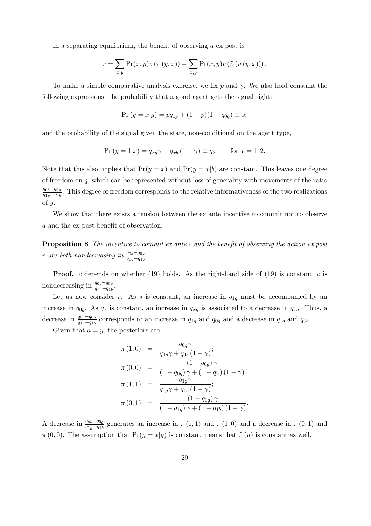In a separating equilibrium, the benefit of observing  $a$  ex post is

$$
r = \sum_{x,y} \Pr(x,y)v\left(\pi(y,x)\right) - \sum_{x,y} \Pr(x,y)v\left(\tilde{\pi}(u(y,x))\right).
$$

To make a simple comparative analysis exercise, we fix p and  $\gamma$ . We also hold constant the following expressions: the probability that a good agent gets the signal right:

$$
Pr(y = x|g) = pq_{1g} + (1 - p)(1 - q_{0g}) \equiv s;
$$

and the probability of the signal given the state, non-conditional on the agent type,

$$
Pr(y = 1|x) = q_{xg}\gamma + q_{xb}(1 - \gamma) \equiv q_x \quad \text{for } x = 1, 2.
$$

Note that this also implies that  $Pr(y = x)$  and  $Pr(y = x | b)$  are constant. This leaves one degree of freedom on  $q$ , which can be represented without loss of generality with movements of the ratio  $q_{0b}-q_{0g}$  $\frac{q_{0b}-q_{0g}}{q_{1g}-q_{1b}}$ . This degree of freedom corresponds to the relative informativeness of the two realizations of  $y$ .

We show that there exists a tension between the ex ante incentive to commit not to observe a and the ex post benefit of observation:

Proposition 8 The incentive to commit ex ante c and the benefit of observing the action ex post r are both nondecreasing in  $\frac{q_{0b}-q_{0g}}{q_{1g}-q_{1b}}$ .

**Proof.** c depends on whether (19) holds. As the right-hand side of (19) is constant, c is nondecreasing in  $\frac{q_{0b}-q_{0g}}{q_{1g}-q_{1b}}$ .

Let us now consider r. As s is constant, an increase in  $q_{1q}$  must be accompanied by an increase in  $q_{0g}$ . As  $q_x$  is constant, an increase in  $q_{xg}$  is associated to a decrease in  $q_{xb}$ . Thus, a decrease in  $\frac{q_{0b}-q_{0g}}{q_{1g}-q_{1b}}$  corresponds to an increase in  $q_{1g}$  and  $q_{0g}$  and a decrease in  $q_{1b}$  and  $q_{0b}$ .

Given that  $a = y$ , the posteriors are

$$
\pi (1,0) = \frac{q_{0g}\gamma}{q_{0g}\gamma + q_{0b} (1-\gamma)};
$$
  
\n
$$
\pi (0,0) = \frac{(1-q_{0g})\gamma}{(1-q_{0g})\gamma + (1-q_{0g})(1-\gamma)};
$$
  
\n
$$
\pi (1,1) = \frac{q_{1g}\gamma}{q_{1g}\gamma + q_{1b} (1-\gamma)};
$$
  
\n
$$
\pi (0,1) = \frac{(1-q_{1g})\gamma}{(1-q_{1g})\gamma + (1-q_{1b})(1-\gamma)}.
$$

A decrease in  $\frac{q_{0b}-q_{0g}}{q_{1g}-q_{1b}}$  generates an increase in  $\pi(1,1)$  and  $\pi(1,0)$  and a decrease in  $\pi(0,1)$  and  $\pi(0,0)$ . The assumption that  $Pr(y = x|g)$  is constant means that  $\tilde{\pi}(u)$  is constant as well.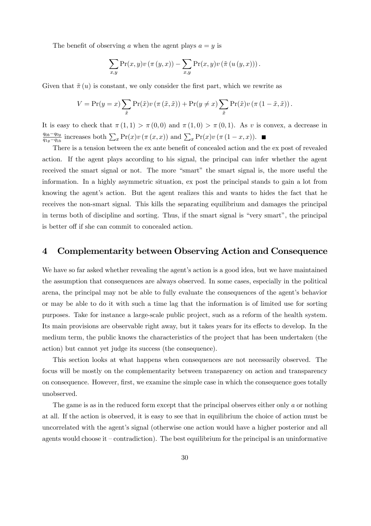The benefit of observing a when the agent plays  $a = y$  is

$$
\sum_{x,y} \Pr(x,y)v\left(\pi(y,x)\right) - \sum_{x,y} \Pr(x,y)v\left(\tilde{\pi}(u(y,x))\right).
$$

Given that  $\tilde{\pi}(u)$  is constant, we only consider the first part, which we rewrite as

$$
V = \Pr(y = x) \sum_{\tilde{x}} \Pr(\tilde{x}) v (\pi (\tilde{x}, \tilde{x})) + \Pr(y \neq x) \sum_{\tilde{x}} \Pr(\tilde{x}) v (\pi (1 - \tilde{x}, \tilde{x})).
$$

It is easy to check that  $\pi(1,1) > \pi(0,0)$  and  $\pi(1,0) > \pi(0,1)$ . As v is convex, a decrease in  $\frac{q_{0b}-q_{0g}}{q_{1g}-q_{1b}}$  increases both  $\sum_x \Pr(x)v(\pi(x,x))$  and  $\sum_x \Pr(x)v(\pi(1-x,x)).$ 

There is a tension between the ex ante benefit of concealed action and the ex post of revealed action. If the agent plays according to his signal, the principal can infer whether the agent received the smart signal or not. The more "smart" the smart signal is, the more useful the information. In a highly asymmetric situation, ex post the principal stands to gain a lot from knowing the agent's action. But the agent realizes this and wants to hides the fact that he receives the non-smart signal. This kills the separating equilibrium and damages the principal in terms both of discipline and sorting. Thus, if the smart signal is "very smart", the principal is better off if she can commit to concealed action.

### 4 Complementarity between Observing Action and Consequence

We have so far asked whether revealing the agent's action is a good idea, but we have maintained the assumption that consequences are always observed. In some cases, especially in the political arena, the principal may not be able to fully evaluate the consequences of the agent's behavior or may be able to do it with such a time lag that the information is of limited use for sorting purposes. Take for instance a large-scale public project, such as a reform of the health system. Its main provisions are observable right away, but it takes years for its effects to develop. In the medium term, the public knows the characteristics of the project that has been undertaken (the action) but cannot yet judge its success (the consequence).

This section looks at what happens when consequences are not necessarily observed. The focus will be mostly on the complementarity between transparency on action and transparency on consequence. However, first, we examine the simple case in which the consequence goes totally unobserved.

The game is as in the reduced form except that the principal observes either only a or nothing at all. If the action is observed, it is easy to see that in equilibrium the choice of action must be uncorrelated with the agent's signal (otherwise one action would have a higher posterior and all agents would choose it  $-$  contradiction). The best equilibrium for the principal is an uninformative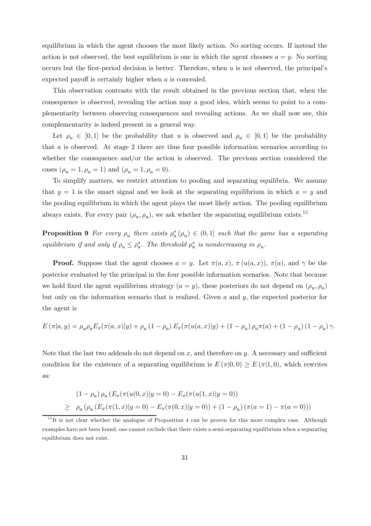equilibrium in which the agent chooses the most likely action. No sorting occurs. If instead the action is not observed, the best equilibrium is one in which the agent chooses  $a = y$ . No sorting occurs but the first-period decision is better. Therefore, when  $u$  is not observed, the principal's expected payoff is certainly higher when a is concealed.

This observation contrasts with the result obtained in the previous section that, when the consequence is observed, revealing the action may a good idea, which seems to point to a complementarity between observing consequences and revealing actions. As we shall now see, this complementarity is indeed present in a general way.

Let  $\rho_u \in [0,1]$  be the probability that u is observed and  $\rho_a \in [0,1]$  be the probability that a is observed. At stage 2 there are thus four possible information scenarios according to whether the consequence and/or the action is observed. The previous section considered the cases  $(\rho_u = 1, \rho_a = 1)$  and  $(\rho_u = 1, \rho_a = 0)$ .

To simplify matters, we restrict attention to pooling and separating equilibria. We assume that  $y = 1$  is the smart signal and we look at the separating equilibrium in which  $a = y$  and the pooling equilibrium in which the agent plays the most likely action. The pooling equilibrium always exists. For every pair  $(\rho_u, \rho_a)$ , we ask whether the separating equilibrium exists.<sup>15</sup>

**Proposition 9** For every  $\rho_u$  there exists  $\rho_a^*(\rho_u) \in (0,1]$  such that the game has a separating equilibrium if and only if  $\rho_a \leq \rho_a^*$ . The threshold  $\rho_a^*$  is nondecreasing in  $\rho_u$ .

**Proof.** Suppose that the agent chooses  $a = y$ . Let  $\pi(a, x)$ ,  $\pi(u(a, x))$ ,  $\pi(a)$ , and  $\gamma$  be the posterior evaluated by the principal in the four possible information scenarios. Note that because we hold fixed the agent equilibrium strategy  $(a = y)$ , these posteriors do not depend on  $(\rho_u, \rho_a)$ but only on the information scenario that is realized. Given  $a$  and  $y$ , the expected posterior for the agent is

$$
E(\pi|a,y) = \rho_u \rho_a E_x(\pi(a,x)|y) + \rho_u (1-\rho_a) E_x(\pi(u(a,x)|y) + (1-\rho_u) \rho_a \pi(a) + (1-\rho_u) (1-\rho_a) \gamma.
$$

Note that the last two addends do not depend on  $x$ , and therefore on  $y$ . A necessary and sufficient condition for the existence of a separating equilibrium is  $E(\pi|0,0) \ge E(\pi|1,0)$ , which rewrites as:

$$
(1 - \rho_a) \rho_u (E_x(\pi(u(0, x)|y = 0) - E_x(\pi(u(1, x)|y = 0))
$$
  
\n
$$
\geq \rho_a (\rho_u (E_x(\pi(1, x)|y = 0) - E_x(\pi(0, x)|y = 0)) + (1 - \rho_u) (\pi(a = 1) - \pi(a = 0)))
$$

 $15$ It is not clear whether the analogue of Proposition 4 can be proven for this more complex case. Although examples have not been found, one cannot exclude that there exists a semi-separating equilibrium when a separating equilibrium does not exist.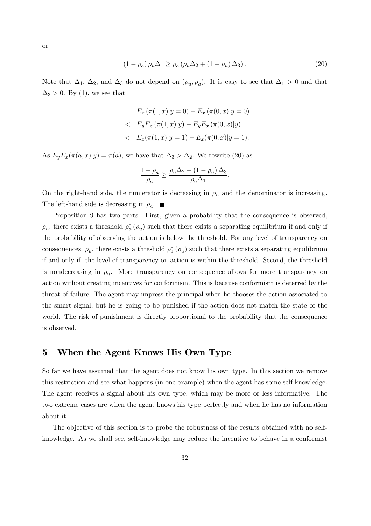$$
(1 - \rho_a) \rho_u \Delta_1 \ge \rho_a \left( \rho_u \Delta_2 + (1 - \rho_u) \Delta_3 \right). \tag{20}
$$

Note that  $\Delta_1$ ,  $\Delta_2$ , and  $\Delta_3$  do not depend on  $(\rho_u, \rho_a)$ . It is easy to see that  $\Delta_1 > 0$  and that  $\Delta_3 > 0$ . By (1), we see that

$$
E_x (\pi(1, x)|y = 0) - E_x (\pi(0, x)|y = 0)
$$
  

$$
\langle E_y E_x (\pi(1, x)|y) - E_y E_x (\pi(0, x)|y)
$$
  

$$
\langle E_x (\pi(1, x)|y = 1) - E_x (\pi(0, x)|y = 1).
$$

As  $E_y E_x(\pi(a, x)|y) = \pi(a)$ , we have that  $\Delta_3 > \Delta_2$ . We rewrite (20) as

$$
\frac{1-\rho_a}{\rho_a} \ge \frac{\rho_u \Delta_2 + \left(1-\rho_u\right) \Delta_3}{\rho_u \Delta_1}.
$$

On the right-hand side, the numerator is decreasing in  $\rho_u$  and the denominator is increasing. The left-hand side is decreasing in  $\rho_a$ .

Proposition 9 has two parts. First, given a probability that the consequence is observed,  $\rho_u$ , there exists a threshold  $\rho_a^*(\rho_u)$  such that there exists a separating equilibrium if and only if the probability of observing the action is below the threshold. For any level of transparency on consequences,  $\rho_u$ , there exists a threshold  $\rho_a^*(\rho_u)$  such that there exists a separating equilibrium if and only if the level of transparency on action is within the threshold. Second, the threshold is nondecreasing in  $\rho_u$ . More transparency on consequence allows for more transparency on action without creating incentives for conformism. This is because conformism is deterred by the threat of failure. The agent may impress the principal when he chooses the action associated to the smart signal, but he is going to be punished if the action does not match the state of the world. The risk of punishment is directly proportional to the probability that the consequence is observed.

### 5 When the Agent Knows His Own Type

So far we have assumed that the agent does not know his own type. In this section we remove this restriction and see what happens (in one example) when the agent has some self-knowledge. The agent receives a signal about his own type, which may be more or less informative. The two extreme cases are when the agent knows his type perfectly and when he has no information about it.

The objective of this section is to probe the robustness of the results obtained with no selfknowledge. As we shall see, self-knowledge may reduce the incentive to behave in a conformist

or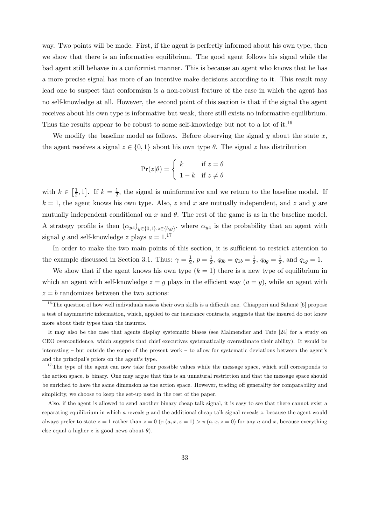way. Two points will be made. First, if the agent is perfectly informed about his own type, then we show that there is an informative equilibrium. The good agent follows his signal while the bad agent still behaves in a conformist manner. This is because an agent who knows that he has a more precise signal has more of an incentive make decisions according to it. This result may lead one to suspect that conformism is a non-robust feature of the case in which the agent has no self-knowledge at all. However, the second point of this section is that if the signal the agent receives about his own type is informative but weak, there still exists no informative equilibrium. Thus the results appear to be robust to some self-knowledge but not to a lot of it.<sup>16</sup>

We modify the baseline model as follows. Before observing the signal  $y$  about the state  $x$ , the agent receives a signal  $z \in \{0, 1\}$  about his own type  $\theta$ . The signal z has distribution

$$
\Pr(z|\theta) = \begin{cases} k & \text{if } z = \theta \\ 1 - k & \text{if } z \neq \theta \end{cases}
$$

with  $k \in \left[\frac{1}{2}, 1\right]$ . If  $k = \frac{1}{2}$ , the signal is uninformative and we return to the baseline model. If  $k = 1$ , the agent knows his own type. Also, z and x are mutually independent, and z and y are mutually independent conditional on x and  $\theta$ . The rest of the game is as in the baseline model. A strategy profile is then  $(\alpha_{yz})_{y\in\{0,1\},z\in\{b,g\}}$ , where  $\alpha_{yz}$  is the probability that an agent with signal y and self-knowledge z plays  $a = 1$ .<sup>17</sup>

In order to make the two main points of this section, it is sufficient to restrict attention to the example discussed in Section 3.1. Thus:  $\gamma = \frac{1}{2}$ ,  $p = \frac{1}{2}$ ,  $q_{0b} = q_{1b} = \frac{1}{2}$ ,  $q_{0g} = \frac{1}{2}$ , and  $q_{1g} = 1$ .

We show that if the agent knows his own type  $(k = 1)$  there is a new type of equilibrium in which an agent with self-knowledge  $z = g$  plays in the efficient way  $(a = y)$ , while an agent with  $z = b$  randomizes between the two actions:

It may also be the case that agents display systematic biases (see Malmendier and Tate [24] for a study on CEO overconfidence, which suggests that chief executives systematically overestimate their ability). It would be interesting — but outside the scope of the present work — to allow for systematic deviations between the agent's and the principal's priors on the agent's type.

 $17$ The type of the agent can now take four possible values while the message space, which still corresponds to the action space, is binary. One may argue that this is an unnatural restriction and that the message space should be enriched to have the same dimension as the action space. However, trading off generality for comparability and simplicity, we choose to keep the set-up used in the rest of the paper.

Also, if the agent is allowed to send another binary cheap talk signal, it is easy to see that there cannot exist a separating equilibrium in which  $\alpha$  reveals  $y$  and the additional cheap talk signal reveals  $z$ , because the agent would always prefer to state  $z = 1$  rather than  $z = 0$  ( $\pi(a, x, z = 1) > \pi(a, x, z = 0)$  for any a and x, because everything else equal a higher z is good news about  $\theta$ ).

 $16$ The question of how well individuals assess their own skills is a difficult one. Chiappori and Salanié [6] propose a test of asymmetric information, which, applied to car insurance contracts, suggests that the insured do not know more about their types than the insurers.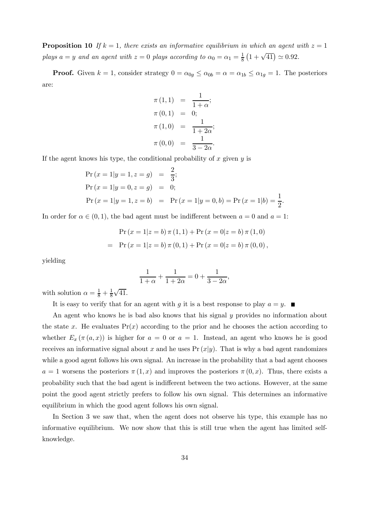**Proposition 10** If  $k = 1$ , there exists an informative equilibrium in which an agent with  $z = 1$ plays  $a = y$  and an agent with  $z = 0$  plays according to  $\alpha_0 = \alpha_1 = \frac{1}{8} \left( 1 + \sqrt{41} \right) \approx 0.92$ .

**Proof.** Given  $k = 1$ , consider strategy  $0 = \alpha_{0g} \leq \alpha_{0b} = \alpha = \alpha_{1b} \leq \alpha_{1g} = 1$ . The posteriors are:

$$
\pi (1,1) = \frac{1}{1+\alpha};
$$
  
\n
$$
\pi (0,1) = 0;
$$
  
\n
$$
\pi (1,0) = \frac{1}{1+2\alpha};
$$
  
\n
$$
\pi (0,0) = \frac{1}{3-2\alpha}.
$$

If the agent knows his type, the conditional probability of  $x$  given  $y$  is

$$
\begin{aligned}\n\Pr(x=1|y=1,z=g) &= \frac{2}{3}; \\
\Pr(x=1|y=0,z=g) &= 0; \\
\Pr(x=1|y=1,z=b) &= \Pr(x=1|y=0,b) = \Pr(x=1|b) = \frac{1}{2}.\n\end{aligned}
$$

In order for  $\alpha \in (0,1)$ , the bad agent must be indifferent between  $a = 0$  and  $a = 1$ :

$$
\Pr(x = 1|z = b) \pi (1, 1) + \Pr(x = 0|z = b) \pi (1, 0)
$$

$$
= \Pr(x = 1|z = b) \pi (0, 1) + \Pr(x = 0|z = b) \pi (0, 0),
$$

yielding

$$
\frac{1}{1+\alpha} + \frac{1}{1+2\alpha} = 0 + \frac{1}{3-2\alpha},
$$

with solution  $\alpha = \frac{1}{8} + \frac{1}{8}\sqrt{41}$ .

It is easy to verify that for an agent with g it is a best response to play  $a = y$ .

An agent who knows he is bad also knows that his signal y provides no information about the state x. He evaluates  $Pr(x)$  according to the prior and he chooses the action according to whether  $E_x(\pi(a,x))$  is higher for  $a = 0$  or  $a = 1$ . Instead, an agent who knows he is good receives an informative signal about x and he uses  $Pr(x|y)$ . That is why a bad agent randomizes while a good agent follows his own signal. An increase in the probability that a bad agent chooses  $a = 1$  worsens the posteriors  $\pi(1, x)$  and improves the posteriors  $\pi(0, x)$ . Thus, there exists a probability such that the bad agent is indifferent between the two actions. However, at the same point the good agent strictly prefers to follow his own signal. This determines an informative equilibrium in which the good agent follows his own signal.

In Section 3 we saw that, when the agent does not observe his type, this example has no informative equilibrium. We now show that this is still true when the agent has limited selfknowledge.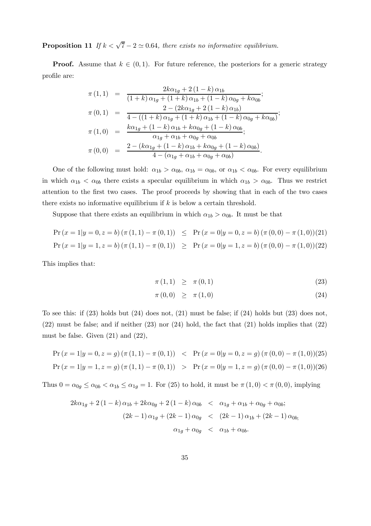**Proposition 11** If  $k < \sqrt{7} - 2 \approx 0.64$ , there exists no informative equilibrium.

**Proof.** Assume that  $k \in (0,1)$ . For future reference, the posteriors for a generic strategy profile are:

$$
\pi(1,1) = \frac{2k\alpha_{1g} + 2(1-k)\alpha_{1b}}{(1+k)\alpha_{1g} + (1+k)\alpha_{1b} + (1-k)\alpha_{0g} + k\alpha_{0b}};
$$
  
\n
$$
\pi(0,1) = \frac{2 - (2k\alpha_{1g} + 2(1-k)\alpha_{1b})}{4 - ((1+k)\alpha_{1g} + (1+k)\alpha_{1b} + (1-k)\alpha_{0g} + k\alpha_{0b})};
$$
  
\n
$$
\pi(1,0) = \frac{k\alpha_{1g} + (1-k)\alpha_{1b} + k\alpha_{0g} + (1-k)\alpha_{0b}}{\alpha_{1g} + \alpha_{1b} + \alpha_{0g} + \alpha_{0b}};
$$
  
\n
$$
\pi(0,0) = \frac{2 - (k\alpha_{1g} + (1-k)\alpha_{1b} + k\alpha_{0g} + (1-k)\alpha_{0b})}{4 - (\alpha_{1g} + \alpha_{1b} + \alpha_{0g} + \alpha_{0b})}.
$$

One of the following must hold:  $\alpha_{1b} > \alpha_{0b}$ ,  $\alpha_{1b} = \alpha_{0b}$ , or  $\alpha_{1b} < \alpha_{0b}$ . For every equilibrium in which  $\alpha_{1b} < \alpha_{0b}$  there exists a specular equilibrium in which  $\alpha_{1b} > \alpha_{0b}$ . Thus we restrict attention to the first two cases. The proof proceeds by showing that in each of the two cases there exists no informative equilibrium if  $k$  is below a certain threshold.

Suppose that there exists an equilibrium in which  $\alpha_{1b} > \alpha_{0b}$ . It must be that

$$
\Pr(x = 1|y = 0, z = b) (\pi (1, 1) - \pi (0, 1)) \leq \Pr(x = 0|y = 0, z = b) (\pi (0, 0) - \pi (1, 0))(21)
$$
  

$$
\Pr(x = 1|y = 1, z = b) (\pi (1, 1) - \pi (0, 1)) \geq \Pr(x = 0|y = 1, z = b) (\pi (0, 0) - \pi (1, 0))(22)
$$

This implies that:

$$
\pi(1,1) \geq \pi(0,1) \tag{23}
$$

$$
\pi(0,0) \geq \pi(1,0) \tag{24}
$$

To see this: if  $(23)$  holds but  $(24)$  does not,  $(21)$  must be false; if  $(24)$  holds but  $(23)$  does not, (22) must be false; and if neither (23) nor (24) hold, the fact that (21) holds implies that (22) must be false. Given  $(21)$  and  $(22)$ ,

$$
\Pr(x = 1|y = 0, z = g) (\pi (1, 1) - \pi (0, 1)) < \Pr(x = 0|y = 0, z = g) (\pi (0, 0) - \pi (1, 0))(25)
$$
\n
$$
\Pr(x = 1|y = 1, z = g) (\pi (1, 1) - \pi (0, 1)) > \Pr(x = 0|y = 1, z = g) (\pi (0, 0) - \pi (1, 0))(26)
$$

Thus  $0 = \alpha_{0g} \leq \alpha_{0b} < \alpha_{1b} \leq \alpha_{1g} = 1$ . For (25) to hold, it must be  $\pi(1,0) < \pi(0,0)$ , implying

$$
2k\alpha_{1g} + 2(1-k)\alpha_{1b} + 2k\alpha_{0g} + 2(1-k)\alpha_{0b} < \alpha_{1g} + \alpha_{1b} + \alpha_{0g} + \alpha_{0b};
$$
  

$$
(2k-1)\alpha_{1g} + (2k-1)\alpha_{0g} < (2k-1)\alpha_{1b} + (2k-1)\alpha_{0b};
$$
  

$$
\alpha_{1g} + \alpha_{0g} < \alpha_{1b} + \alpha_{0b}.
$$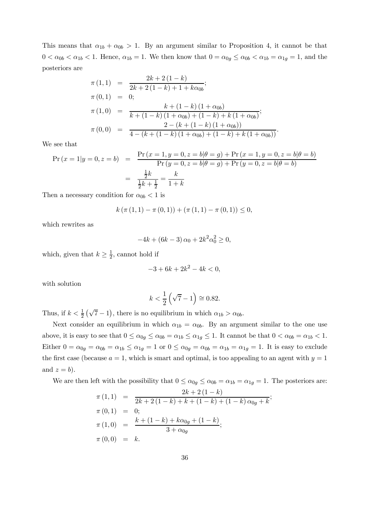This means that  $\alpha_{1b} + \alpha_{0b} > 1$ . By an argument similar to Proposition 4, it cannot be that  $0 < \alpha_{0b} < \alpha_{1b} < 1$ . Hence,  $\alpha_{1b} = 1$ . We then know that  $0 = \alpha_{0g} \leq \alpha_{0b} < \alpha_{1b} = \alpha_{1g} = 1$ , and the posteriors are

$$
\pi (1,1) = \frac{2k + 2(1 - k)}{2k + 2(1 - k) + 1 + k\alpha_{0b}};
$$
  
\n
$$
\pi (0,1) = 0;
$$
  
\n
$$
\pi (1,0) = \frac{k + (1 - k)(1 + \alpha_{0b})}{k + (1 - k)(1 + \alpha_{0b}) + (1 - k) + k(1 + \alpha_{0b})};
$$
  
\n
$$
\pi (0,0) = \frac{2 - (k + (1 - k)(1 + \alpha_{0b}))}{4 - (k + (1 - k)(1 + \alpha_{0b}) + (1 - k) + k(1 + \alpha_{0b}))}.
$$

We see that

$$
\Pr(x = 1|y = 0, z = b) = \frac{\Pr(x = 1, y = 0, z = b|\theta = g) + \Pr(x = 1, y = 0, z = b|\theta = b)}{\Pr(y = 0, z = b|\theta = g) + \Pr(y = 0, z = b|\theta = b)}
$$

$$
= \frac{\frac{1}{2}k}{\frac{1}{2}k + \frac{1}{2}} = \frac{k}{1 + k}
$$

Then a necessary condition for  $\alpha_{0b} < 1$  is

$$
k(\pi(1,1)-\pi(0,1))+(\pi(1,1)-\pi(0,1))\leq 0,
$$

which rewrites as

$$
-4k + (6k - 3)\alpha_0 + 2k^2\alpha_0^2 \ge 0,
$$

which, given that  $k \geq \frac{1}{2}$ , cannot hold if

$$
-3 + 6k + 2k^2 - 4k < 0
$$

with solution

$$
k < \frac{1}{2} \left( \sqrt{7} - 1 \right) \cong 0.82.
$$

Thus, if  $k < \frac{1}{2}(\sqrt{7}-1)$ , there is no equilibrium in which  $\alpha_{1b} > \alpha_{0b}$ .

Next consider an equilibrium in which  $\alpha_{1b} = \alpha_{0b}$ . By an argument similar to the one use above, it is easy to see that  $0 \le \alpha_{0g} \le \alpha_{0b} = \alpha_{1b} \le \alpha_{1g} \le 1$ . It cannot be that  $0 < \alpha_{0b} = \alpha_{1b} < 1$ . Either  $0 = \alpha_{0g} = \alpha_{0b} = \alpha_{1b} \leq \alpha_{1g} = 1$  or  $0 \leq \alpha_{0g} = \alpha_{0b} = \alpha_{1b} = \alpha_{1g} = 1$ . It is easy to exclude the first case (because  $a = 1$ , which is smart and optimal, is too appealing to an agent with  $y = 1$ and  $z = b$ ).

We are then left with the possibility that  $0 \le \alpha_{0g} \le \alpha_{0b} = \alpha_{1b} = \alpha_{1g} = 1$ . The posteriors are:

$$
\pi (1,1) = \frac{2k+2(1-k)}{2k+2(1-k)+k+(1-k)+(1-k)\alpha_{0g}+k};
$$
  
\n
$$
\pi (0,1) = 0;
$$
  
\n
$$
\pi (1,0) = \frac{k+(1-k)+k\alpha_{0g}+(1-k)}{3+\alpha_{0g}};
$$
  
\n
$$
\pi (0,0) = k.
$$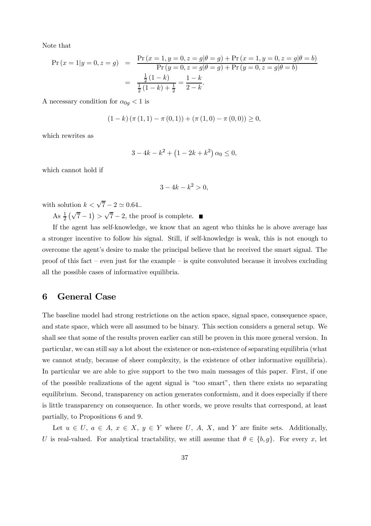Note that

$$
\Pr(x = 1|y = 0, z = g) = \frac{\Pr(x = 1, y = 0, z = g | \theta = g) + \Pr(x = 1, y = 0, z = g | \theta = b)}{\Pr(y = 0, z = g | \theta = g) + \Pr(y = 0, z = g | \theta = b)}
$$

$$
= \frac{\frac{1}{2}(1 - k)}{\frac{1}{2}(1 - k) + \frac{1}{2}} = \frac{1 - k}{2 - k}.
$$

A necessary condition for  $\alpha_{0g} < 1$  is

$$
(1 - k) (\pi (1, 1) - \pi (0, 1)) + (\pi (1, 0) - \pi (0, 0)) \ge 0,
$$

which rewrites as

$$
3 - 4k - k^2 + (1 - 2k + k^2) \alpha_0 \le 0,
$$

which cannot hold if

$$
3 - 4k - k^2 > 0
$$

with solution  $k < \sqrt{7} - 2 \simeq 0.64$ ..

As  $\frac{1}{2}(\sqrt{7}-1) > \sqrt{7}-2$ , the proof is complete.

If the agent has self-knowledge, we know that an agent who thinks he is above average has a stronger incentive to follow his signal. Still, if self-knowledge is weak, this is not enough to overcome the agent's desire to make the principal believe that he received the smart signal. The proof of this fact – even just for the example – is quite convoluted because it involves excluding all the possible cases of informative equilibria.

# 6 General Case

The baseline model had strong restrictions on the action space, signal space, consequence space, and state space, which were all assumed to be binary. This section considers a general setup. We shall see that some of the results proven earlier can still be proven in this more general version. In particular, we can still say a lot about the existence or non-existence of separating equilibria (what we cannot study, because of sheer complexity, is the existence of other informative equilibria). In particular we are able to give support to the two main messages of this paper. First, if one of the possible realizations of the agent signal is "too smart", then there exists no separating equilibrium. Second, transparency on action generates conformism, and it does especially if there is little transparency on consequence. In other words, we prove results that correspond, at least partially, to Propositions 6 and 9.

Let  $u \in U$ ,  $a \in A$ ,  $x \in X$ ,  $y \in Y$  where U, A, X, and Y are finite sets. Additionally, U is real-valued. For analytical tractability, we still assume that  $\theta \in \{b, g\}$ . For every x, let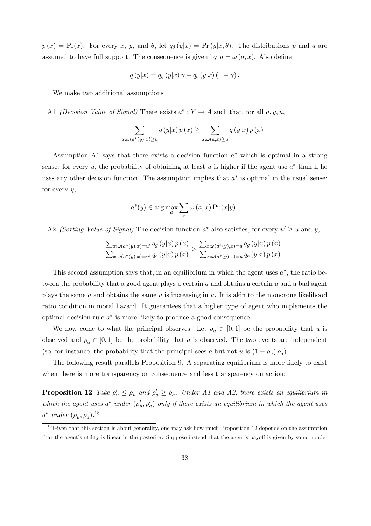$p(x) = Pr(x)$ . For every x, y, and  $\theta$ , let  $q_{\theta}(y|x) = Pr(y|x, \theta)$ . The distributions p and q are assumed to have full support. The consequence is given by  $u = \omega(a, x)$ . Also define

$$
q(y|x) = q_g(y|x) \gamma + q_b(y|x) (1 - \gamma).
$$

We make two additional assumptions

A1 (Decision Value of Signal) There exists  $a^*: Y \to A$  such that, for all  $a, y, u$ ,

$$
\sum_{x:\omega(a^*(y),x)\geq u} q(y|x) p(x) \geq \sum_{x:\omega(a,x)\geq u} q(y|x) p(x)
$$

Assumption A1 says that there exists a decision function  $a^*$  which is optimal in a strong sense: for every u, the probability of obtaining at least u is higher if the agent use  $a^*$  than if he uses any other decision function. The assumption implies that  $a^*$  is optimal in the usual sense: for every  $y$ ,

$$
a^*(y) \in \arg\max_a \sum_x \omega(a, x) \Pr(x|y).
$$

A2 (Sorting Value of Signal) The decision function  $a^*$  also satisfies, for every  $u' \geq u$  and y,

$$
\frac{\sum_{x:\omega(a^*(y),x)=u'} q_g(y|x) p(x)}{\sum_{x:\omega(a^*(y),x)=u'} q_b(y|x) p(x)} \ge \frac{\sum_{x:\omega(a^*(y),x)=u} q_g(y|x) p(x)}{\sum_{x:\omega(a^*(y),x)=u} q_b(y|x) p(x)}
$$

This second assumption says that, in an equilibrium in which the agent uses  $a^*$ , the ratio between the probability that a good agent plays a certain  $a$  and obtains a certain  $u$  and a bad agent plays the same  $a$  and obtains the same  $u$  is increasing in  $u$ . It is akin to the monotone likelihood ratio condition in moral hazard. It guarantees that a higher type of agent who implements the optimal decision rule a∗ is more likely to produce a good consequence.

We now come to what the principal observes. Let  $\rho_u \in [0,1]$  be the probability that u is observed and  $\rho_a \in [0,1]$  be the probability that a is observed. The two events are independent (so, for instance, the probability that the principal sees a but not u is  $(1 - \rho_u)\rho_a$ ).

The following result parallels Proposition 9. A separating equilibrium is more likely to exist when there is more transparency on consequence and less transparency on action:

**Proposition 12** Take  $\rho'_u \leq \rho_u$  and  $\rho'_a \geq \rho_a$ . Under A1 and A2, there exists an equilibrium in which the agent uses  $a^*$  under  $(\rho'_u, \rho'_a)$  only if there exists an equilibrium in which the agent uses  $a^*$  under  $(\rho_u, \rho_a)$ .<sup>18</sup>

 $1<sup>8</sup>$  Given that this section is about generality, one may ask how much Proposition 12 depends on the assumption that the agent's utility is linear in the posterior. Suppose instead that the agent's payoff is given by some nonde-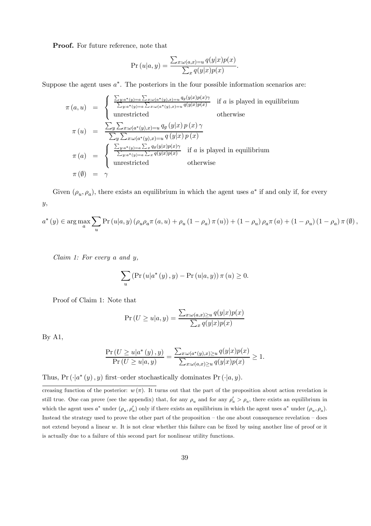Proof. For future reference, note that

$$
\Pr(u|a, y) = \frac{\sum_{x: \omega(a, x) = u} q(y|x)p(x)}{\sum_{x} q(y|x)p(x)}.
$$

Suppose the agent uses  $a^*$ . The posteriors in the four possible information scenarios are:

$$
\pi(a, u) = \begin{cases}\n\frac{\sum_{y:a^*(y)=a} \sum_{x:\omega(a^*(y),x)=u} q_g(y|x)p(x)\gamma}{\sum_{y:a^*(y)=a} \sum_{x:\omega(a^*(y),x)=u} q(y|x)p(x)} & \text{if } a \text{ is played in equilibrium} \\
\text{unrestricted} & \text{otherwise}\n\end{cases}
$$
\n
$$
\pi(u) = \frac{\sum_{y} \sum_{x:\omega(a^*(y),x)=u} q_g(y|x)p(x)\gamma}{\sum_{y} \sum_{x:\omega(a^*(y),x)=u} q(y|x)p(x)}\n\pi(a) = \begin{cases}\n\frac{\sum_{y:a^*(y)=a} \sum_x q_g(y|x)p(x)\gamma}{\sum_{y:a^*(y)=a} \sum_x q_g(y|x)p(x)} & \text{if } a \text{ is played in equilibrium} \\
\text{unrestricted} & \text{otherwise}\n\end{cases}
$$
\n
$$
\pi(\emptyset) = \gamma
$$

Given  $(\rho_u, \rho_a)$ , there exists an equilibrium in which the agent uses  $a^*$  if and only if, for every y,

$$
a^{*}\left(y\right)\in\arg\max_{a}\sum_{u}\Pr\left(u\vert a,y\right)\left(\rho_{u}\rho_{a}\pi\left(a,u\right)+\rho_{u}\left(1-\rho_{a}\right)\pi\left(u\right)\right)+\left(1-\rho_{u}\right)\rho_{a}\pi\left(a\right)+\left(1-\rho_{u}\right)\left(1-\rho_{a}\right)\pi\left(\emptyset\right),
$$

Claim 1: For every a and y,

$$
\sum_{u} \left( \Pr(u|a^*(y), y) - \Pr(u|a, y) \right) \pi(u) \ge 0.
$$

Proof of Claim 1: Note that

$$
\Pr(U \ge u|a, y) = \frac{\sum_{x: \omega(a, x) \ge u} q(y|x)p(x)}{\sum_{x} q(y|x)p(x)}
$$

By A1,

$$
\frac{\Pr(U \ge u | a^*(y), y)}{\Pr(U \ge u | a, y)} = \frac{\sum_{x:\omega(a^*(y), x) \ge u} q(y|x)p(x)}{\sum_{x:\omega(a, x) \ge u} q(y|x)p(x)} \ge 1.
$$

Thus, Pr  $(\cdot|a^*(y), y)$  first–order stochastically dominates Pr  $(\cdot|a, y)$ .

creasing function of the posterior:  $w(\pi)$ . It turns out that the part of the proposition about action revelation is still true. One can prove (see the appendix) that, for any  $\rho_u$  and for any  $\rho_a' > \rho_a$ , there exists an equilibrium in which the agent uses  $a^*$  under  $(\rho_u, \rho'_a)$  only if there exists an equilibrium in which the agent uses  $a^*$  under  $(\rho_u, \rho_a)$ . Instead the strategy used to prove the other part of the proposition — the one about consequence revelation — does not extend beyond a linear w. It is not clear whether this failure can be fixed by using another line of proof or it is actually due to a failure of this second part for nonlinear utility functions.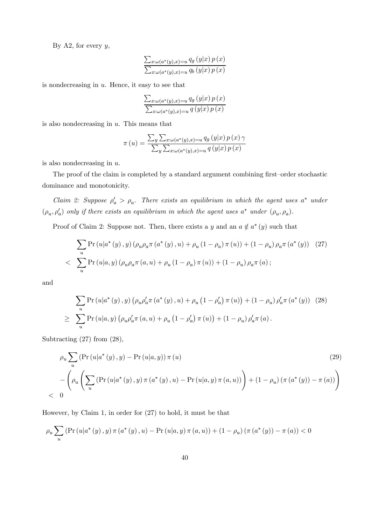By A2, for every  $y$ ,

$$
\frac{\sum_{x:\omega(a^{*}(y),x)=u}q_{g}\left(y|x\right)p\left(x\right)}{\sum_{x:\omega(a^{*}(y),x)=u}q_{b}\left(y|x\right)p\left(x\right)}
$$

is nondecreasing in  $u$ . Hence, it easy to see that

$$
\frac{\sum_{x:\omega(a^*(y),x)=u}q_g(y|x) p(x)}{\sum_{x:\omega(a^*(y),x)=u}q(y|x) p(x)}
$$

is also nondecreasing in  $u$ . This means that

$$
\pi(u) = \frac{\sum_{y} \sum_{x:\omega(a^*(y),x)=u} q_g(y|x) p(x) \gamma}{\sum_{y} \sum_{x:\omega(a^*(y),x)=u} q(y|x) p(x)}
$$

is also nondecreasing in u.

The proof of the claim is completed by a standard argument combining first—order stochastic dominance and monotonicity.

Claim 2: Suppose  $\rho'_a > \rho_a$ . There exists an equilibrium in which the agent uses  $a^*$  under  $(\rho_u, \rho'_a)$  only if there exists an equilibrium in which the agent uses  $a^*$  under  $(\rho_u, \rho_a)$ .

Proof of Claim 2: Suppose not. Then, there exists a y and an  $a \notin a^*(y)$  such that

$$
\sum_{u} \Pr(u|a^*(y), y) (\rho_u \rho_a \pi(a^*(y), u) + \rho_u (1 - \rho_a) \pi(u)) + (1 - \rho_u) \rho_a \pi(a^*(y)) \quad (27)
$$
  
< 
$$
\sum_{u} \Pr(u|a, y) (\rho_u \rho_a \pi(a, u) + \rho_u (1 - \rho_a) \pi(u)) + (1 - \rho_u) \rho_a \pi(a);
$$

and

$$
\sum_{u} \Pr(u|a^*(y), y) (\rho_u \rho'_a \pi(a^*(y), u) + \rho_u (1 - \rho'_a) \pi(u)) + (1 - \rho_u) \rho'_a \pi(a^*(y)) \quad (28)
$$
  

$$
\geq \sum_{u} \Pr(u|a, y) (\rho_u \rho'_a \pi(a, u) + \rho_u (1 - \rho'_a) \pi(u)) + (1 - \rho_u) \rho'_a \pi(a).
$$

Subtracting (27) from (28),

$$
\rho_u \sum_{u} \left( \Pr(u|a^*(y), y) - \Pr(u|a, y) \right) \pi(u) \tag{29}
$$
\n
$$
- \left( \rho_u \left( \sum_{u} \left( \Pr(u|a^*(y), y) \pi(a^*(y), u) - \Pr(u|a, y) \pi(a, u) \right) \right) + (1 - \rho_u) \left( \pi(a^*(y)) - \pi(a) \right) \right)
$$
\n
$$
< 0
$$

However, by Claim 1, in order for (27) to hold, it must be that

$$
\rho_u \sum_{u} \left( \Pr\left(u | a^*(y), y\right) \pi\left(a^*(y), u\right) - \Pr\left(u | a, y\right) \pi\left(a, u\right) \right) + (1 - \rho_u) \left( \pi\left(a^*(y)\right) - \pi\left(a\right) \right) < 0
$$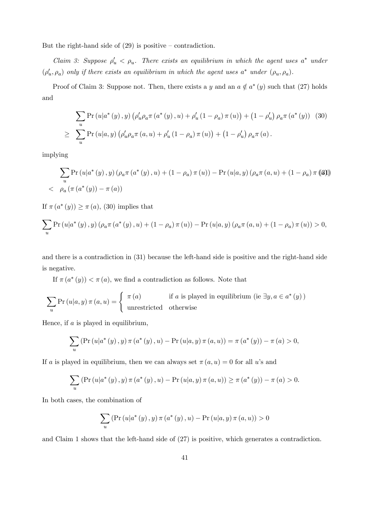But the right-hand side of  $(29)$  is positive – contradiction.

Claim 3: Suppose  $\rho'_u \le \rho_u$ . There exists an equilibrium in which the agent uses  $a^*$  under  $(\rho'_u, \rho_a)$  only if there exists an equilibrium in which the agent uses  $a^*$  under  $(\rho_u, \rho_a)$ .

Proof of Claim 3: Suppose not. Then, there exists a y and an  $a \notin a^*(y)$  such that (27) holds and

$$
\sum_{u} \Pr(u|a^*(y), y) \left( \rho'_u \rho_a \pi(a^*(y), u) + \rho'_u (1 - \rho_a) \pi(u) \right) + (1 - \rho'_u) \rho_a \pi(a^*(y)) \quad (30)
$$
  

$$
\geq \sum_{u} \Pr(u|a, y) \left( \rho'_u \rho_a \pi(a, u) + \rho'_u (1 - \rho_a) \pi(u) \right) + (1 - \rho'_u) \rho_a \pi(a).
$$

implying

$$
\sum_{u} \Pr(u|a^*(y), y) (\rho_a \pi(a^*(y), u) + (1 - \rho_a) \pi(u)) - \Pr(u|a, y) (\rho_a \pi(a, u) + (1 - \rho_a) \pi (3))
$$
  

$$
> \rho_a (\pi(a^*(y)) - \pi(a))
$$

If  $\pi(a^*(y)) \geq \pi(a)$ , (30) implies that

$$
\sum_{u} \Pr(u|a^*(y), y) (\rho_a \pi(a^*(y), u) + (1 - \rho_a) \pi(u)) - \Pr(u|a, y) (\rho_a \pi(a, u) + (1 - \rho_a) \pi(u)) > 0,
$$

and there is a contradiction in (31) because the left-hand side is positive and the right-hand side is negative.

If  $\pi(a^*(y)) < \pi(a)$ , we find a contradiction as follows. Note that

$$
\sum_{u} \Pr(u|a, y) \pi(a, u) = \begin{cases} \pi(a) & \text{if } a \text{ is played in equilibrium (ie } \exists y, a \in a^*(y)) \\ \text{unrestricted} & \text{otherwise} \end{cases}
$$

Hence, if  $a$  is played in equilibrium,

$$
\sum_{u} \left( \Pr(u|a^*(y), y) \pi(a^*(y), u) - \Pr(u|a, y) \pi(a, u) \right) = \pi(a^*(y)) - \pi(a) > 0,
$$

If a is played in equilibrium, then we can always set  $\pi(a, u) = 0$  for all u's and

$$
\sum_{u} \left( \Pr(u|a^*(y), y) \pi(a^*(y), u) - \Pr(u|a, y) \pi(a, u) \right) \ge \pi(a^*(y)) - \pi(a) > 0.
$$

In both cases, the combination of

$$
\sum_{u} \left( \Pr\left(u | a^*(y), y\right) \pi\left(a^*(y), u\right) - \Pr\left(u | a, y\right) \pi\left(a, u\right) \right) > 0
$$

and Claim 1 shows that the left-hand side of (27) is positive, which generates a contradiction.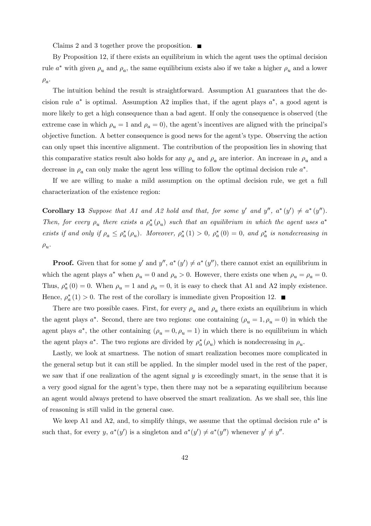Claims 2 and 3 together prove the proposition.  $\blacksquare$ 

By Proposition 12, if there exists an equilibrium in which the agent uses the optimal decision rule  $a^*$  with given  $\rho_u$  and  $\rho_a$ , the same equilibrium exists also if we take a higher  $\rho_u$  and a lower  $\rho_a$ .

The intuition behind the result is straightforward. Assumption A1 guarantees that the decision rule  $a^*$  is optimal. Assumption A2 implies that, if the agent plays  $a^*$ , a good agent is more likely to get a high consequence than a bad agent. If only the consequence is observed (the extreme case in which  $\rho_u = 1$  and  $\rho_a = 0$ , the agent's incentives are aligned with the principal's objective function. A better consequence is good news for the agent's type. Observing the action can only upset this incentive alignment. The contribution of the proposition lies in showing that this comparative statics result also holds for any  $\rho_u$  and  $\rho_a$  are interior. An increase in  $\rho_u$  and a decrease in  $\rho_a$  can only make the agent less willing to follow the optimal decision rule  $a^*$ .

If we are willing to make a mild assumption on the optimal decision rule, we get a full characterization of the existence region:

**Corollary 13** Suppose that A1 and A2 hold and that, for some y' and y'',  $a^*(y') \neq a^*(y'')$ . Then, for every  $\rho_u$  there exists a  $\rho_a^*(\rho_u)$  such that an equilibrium in which the agent uses  $a^*$ exists if and only if  $\rho_a \leq \rho_a^*(\rho_u)$ . Moreover,  $\rho_a^*(1) > 0$ ,  $\rho_a^*(0) = 0$ , and  $\rho_a^*$  is nondecreasing in  $\rho_u$ .

**Proof.** Given that for some y' and  $y''$ ,  $a^*(y') \neq a^*(y'')$ , there cannot exist an equilibrium in which the agent plays  $a^*$  when  $\rho_u = 0$  and  $\rho_a > 0$ . However, there exists one when  $\rho_u = \rho_a = 0$ . Thus,  $\rho_a^*(0) = 0$ . When  $\rho_u = 1$  and  $\rho_a = 0$ , it is easy to check that A1 and A2 imply existence. Hence,  $\rho_a^*(1) > 0$ . The rest of the corollary is immediate given Proposition 12.

There are two possible cases. First, for every  $\rho_u$  and  $\rho_a$  there exists an equilibrium in which the agent plays  $a^*$ . Second, there are two regions: one containing  $(\rho_u = 1, \rho_u = 0)$  in which the agent plays  $a^*$ , the other containing  $(\rho_u = 0, \rho_u = 1)$  in which there is no equilibrium in which the agent plays  $a^*$ . The two regions are divided by  $\rho_a^* (\rho_u)$  which is nondecreasing in  $\rho_u$ .

Lastly, we look at smartness. The notion of smart realization becomes more complicated in the general setup but it can still be applied. In the simpler model used in the rest of the paper, we saw that if one realization of the agent signal  $y$  is exceedingly smart, in the sense that it is a very good signal for the agent's type, then there may not be a separating equilibrium because an agent would always pretend to have observed the smart realization. As we shall see, this line of reasoning is still valid in the general case.

We keep A1 and A2, and, to simplify things, we assume that the optimal decision rule  $a^*$  is such that, for every y,  $a^*(y')$  is a singleton and  $a^*(y') \neq a^*(y'')$  whenever  $y' \neq y''$ .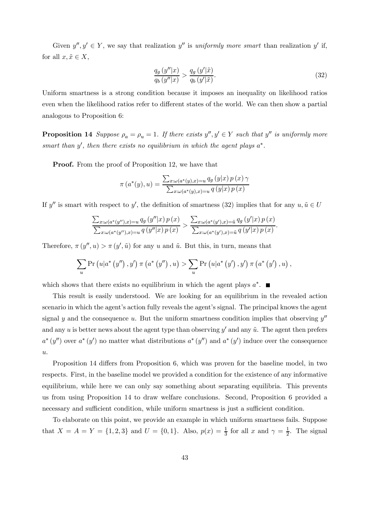Given  $y'', y' \in Y$ , we say that realization y' is uniformly more smart than realization y' if, for all  $x, \tilde{x} \in X$ ,

$$
\frac{q_g\left(y''|x\right)}{q_b\left(y''|x\right)} > \frac{q_g\left(y'\left|\tilde{x}\right.\right)}{q_b\left(y'\left|\tilde{x}\right.\right)}.\tag{32}
$$

Uniform smartness is a strong condition because it imposes an inequality on likelihood ratios even when the likelihood ratios refer to different states of the world. We can then show a partial analogous to Proposition 6:

**Proposition 14** Suppose  $\rho_a = \rho_u = 1$ . If there exists  $y'', y' \in Y$  such that  $y''$  is uniformly more smart than  $y'$ , then there exists no equilibrium in which the agent plays  $a^*$ .

**Proof.** From the proof of Proposition 12, we have that

$$
\pi(a^*(y), u) = \frac{\sum_{x: \omega(a^*(y), x) = u} q_g(y|x) p(x) \gamma}{\sum_{x: \omega(a^*(y), x) = u} q(y|x) p(x)}
$$

If y'' is smart with respect to y', the definition of smartness (32) implies that for any  $u, \tilde{u} \in U$ 

$$
\frac{\sum_{x:\omega(a^*(y''),x)=u} q_g(y''|x) p(x)}{\sum_{x:\omega(a^*(y''),x)=u} q(y''|x) p(x)} > \frac{\sum_{x:\omega(a^*(y'),x)=\tilde{u}} q_g(y'|x) p(x)}{\sum_{x:\omega(a^*(y'),x)=\tilde{u}} q(y'|x) p(x)}.
$$

Therefore,  $\pi(y'', u) > \pi(y', \tilde{u})$  for any u and  $\tilde{u}$ . But this, in turn, means that

$$
\sum_{u} \Pr(u|a^{*}(y''), y') \pi(a^{*}(y''), u) > \sum_{u} \Pr(u|a^{*}(y'), y') \pi(a^{*}(y'), u),
$$

which shows that there exists no equilibrium in which the agent plays  $a^*$ .

This result is easily understood. We are looking for an equilibrium in the revealed action scenario in which the agent's action fully reveals the agent's signal. The principal knows the agent signal y and the consequence u. But the uniform smartness condition implies that observing  $y''$ and any u is better news about the agent type than observing  $y'$  and any  $\tilde{u}$ . The agent then prefers  $a^*(y'')$  over  $a^*(y')$  no matter what distributions  $a^*(y'')$  and  $a^*(y')$  induce over the consequence  $u$ .

Proposition 14 differs from Proposition 6, which was proven for the baseline model, in two respects. First, in the baseline model we provided a condition for the existence of any informative equilibrium, while here we can only say something about separating equilibria. This prevents us from using Proposition 14 to draw welfare conclusions. Second, Proposition 6 provided a necessary and sufficient condition, while uniform smartness is just a sufficient condition.

To elaborate on this point, we provide an example in which uniform smartness fails. Suppose that  $X = A = Y = \{1, 2, 3\}$  and  $U = \{0, 1\}$ . Also,  $p(x) = \frac{1}{3}$  for all x and  $\gamma = \frac{1}{2}$ . The signal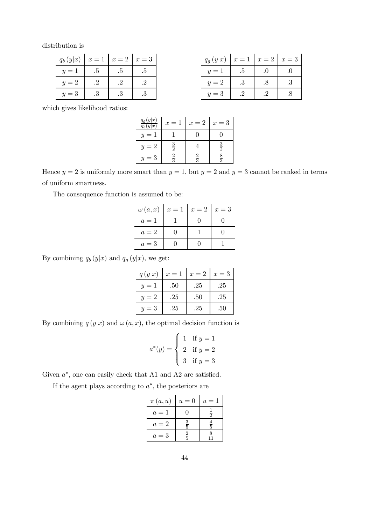distribution is

| $q_b(y x)   x = 1   x = 2   x = 3$      |  |  | $q_q(y x)   x = 1   x = 2   x = 3$ |                                                    |  |
|-----------------------------------------|--|--|------------------------------------|----------------------------------------------------|--|
| $y=1$   .5   .5   .5                    |  |  | $y=1$ .5 .0 .0                     |                                                    |  |
| $y=2$   $\therefore$ 2   $\therefore$ 2 |  |  | $y=2$ 3 8 3                        |                                                    |  |
| $y=3$ 3 3 3                             |  |  | $y=3$ .2                           | $\begin{array}{ c c c c c } \hline \end{array}$ .8 |  |

which gives likelihood ratios:

| $q_g(y x)$<br>(y x) | $x = 1$ | $x=2$ | $x=3$ |
|---------------------|---------|-------|-------|
| $u = 1$             |         |       |       |
| $y=2$               | ─       |       |       |
|                     |         |       |       |

Hence  $y = 2$  is uniformly more smart than  $y = 1$ , but  $y = 2$  and  $y = 3$  cannot be ranked in terms of uniform smartness.

The consequence function is assumed to be:

| $\omega(a,x)   x = 1   x = 2   x = 3$ |  |  |
|---------------------------------------|--|--|
| $a=1$                                 |  |  |
| $a=2$                                 |  |  |
| $a=3$                                 |  |  |

By combining  $q_b(y|x)$  and  $q_g(y|x)$ , we get:

| q(y x) | $x=1$ | $x=2$ | $x=3$ |
|--------|-------|-------|-------|
| $y=1$  | .50   | .25   | .25   |
| $y=2$  | .25   | .50   | .25   |
| $y=3$  | .25   | .25   | .50   |

By combining  $q(y|x)$  and  $\omega(a, x)$ , the optimal decision function is

$$
a^*(y) = \begin{cases} 1 & \text{if } y = 1 \\ 2 & \text{if } y = 2 \\ 3 & \text{if } y = 3 \end{cases}
$$

Given  $a^*$ , one can easily check that A1 and A2 are satisfied.

If the agent plays according to  $a^*$ , the posteriors are

| $\pi(a,u)$ | $u=0$         | $u=1$         |
|------------|---------------|---------------|
| $a=1$      |               | $\frac{1}{2}$ |
| $a=2$      | $\frac{3}{5}$ | $\frac{4}{5}$ |
| $a=3$      | $\frac{2}{5}$ | 8             |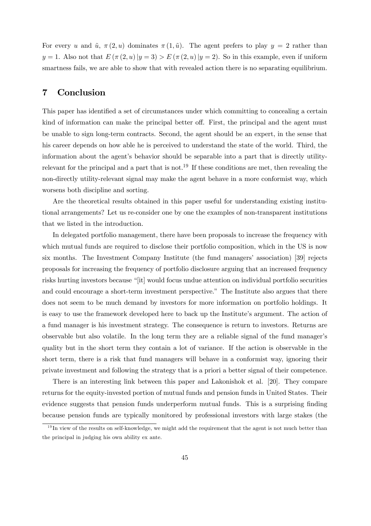For every u and  $\tilde{u}$ ,  $\pi(2, u)$  dominates  $\pi(1, \tilde{u})$ . The agent prefers to play  $y = 2$  rather than  $y = 1$ . Also not that  $E(\pi(2, u) | y = 3) > E(\pi(2, u) | y = 2)$ . So in this example, even if uniform smartness fails, we are able to show that with revealed action there is no separating equilibrium.

# 7 Conclusion

This paper has identified a set of circumstances under which committing to concealing a certain kind of information can make the principal better off. First, the principal and the agent must be unable to sign long-term contracts. Second, the agent should be an expert, in the sense that his career depends on how able he is perceived to understand the state of the world. Third, the information about the agent's behavior should be separable into a part that is directly utilityrelevant for the principal and a part that is not.<sup>19</sup> If these conditions are met, then revealing the non-directly utility-relevant signal may make the agent behave in a more conformist way, which worsens both discipline and sorting.

Are the theoretical results obtained in this paper useful for understanding existing institutional arrangements? Let us re-consider one by one the examples of non-transparent institutions that we listed in the introduction.

In delegated portfolio management, there have been proposals to increase the frequency with which mutual funds are required to disclose their portfolio composition, which in the US is now six months. The Investment Company Institute (the fund managers' association) [39] rejects proposals for increasing the frequency of portfolio disclosure arguing that an increased frequency risks hurting investors because "[it] would focus undue attention on individual portfolio securities and could encourage a short-term investment perspective." The Institute also argues that there does not seem to be much demand by investors for more information on portfolio holdings. It is easy to use the framework developed here to back up the Institute's argument. The action of a fund manager is his investment strategy. The consequence is return to investors. Returns are observable but also volatile. In the long term they are a reliable signal of the fund manager's quality but in the short term they contain a lot of variance. If the action is observable in the short term, there is a risk that fund managers will behave in a conformist way, ignoring their private investment and following the strategy that is a priori a better signal of their competence.

There is an interesting link between this paper and Lakonishok et al. [20]. They compare returns for the equity-invested portion of mutual funds and pension funds in United States. Their evidence suggests that pension funds underperform mutual funds. This is a surprising finding because pension funds are typically monitored by professional investors with large stakes (the

 $19$  In view of the results on self-knowledge, we might add the requirement that the agent is not much better than the principal in judging his own ability ex ante.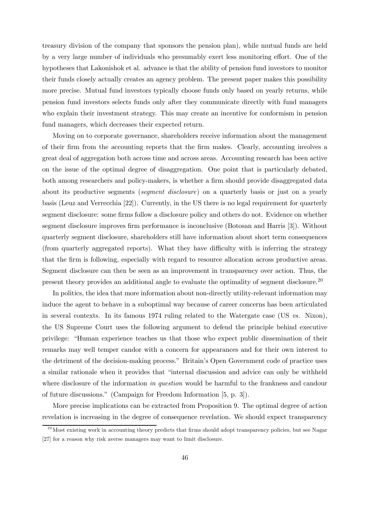treasury division of the company that sponsors the pension plan), while mutual funds are held by a very large number of individuals who presumably exert less monitoring effort. One of the hypotheses that Lakonishok et al. advance is that the ability of pension fund investors to monitor their funds closely actually creates an agency problem. The present paper makes this possibility more precise. Mutual fund investors typically choose funds only based on yearly returns, while pension fund investors selects funds only after they communicate directly with fund managers who explain their investment strategy. This may create an incentive for conformism in pension fund managers, which decreases their expected return.

Moving on to corporate governance, shareholders receive information about the management of their firm from the accounting reports that the firm makes. Clearly, accounting involves a great deal of aggregation both across time and across areas. Accounting research has been active on the issue of the optimal degree of disaggregation. One point that is particularly debated, both among researchers and policy-makers, is whether a firm should provide disaggregated data about its productive segments (*segment disclosure*) on a quarterly basis or just on a yearly basis (Leuz and Verrecchia [22]). Currently, in the US there is no legal requirement for quarterly segment disclosure: some firms follow a disclosure policy and others do not. Evidence on whether segment disclosure improves firm performance is inconclusive (Botosan and Harris [3]). Without quarterly segment disclosure, shareholders still have information about short term consequences (from quarterly aggregated reports). What they have difficulty with is inferring the strategy that the firm is following, especially with regard to resource allocation across productive areas. Segment disclosure can then be seen as an improvement in transparency over action. Thus, the present theory provides an additional angle to evaluate the optimality of segment disclosure.<sup>20</sup>

In politics, the idea that more information about non-directly utility-relevant information may induce the agent to behave in a suboptimal way because of career concerns has been articulated in several contexts. In its famous 1974 ruling related to the Watergate case (US vs. Nixon), the US Supreme Court uses the following argument to defend the principle behind executive privilege: "Human experience teaches us that those who expect public dissemination of their remarks may well temper candor with a concern for appearances and for their own interest to the detriment of the decision-making process." Britain's Open Government code of practice uses a similar rationale when it provides that "internal discussion and advice can only be withheld where disclosure of the information in question would be harmful to the frankness and candour of future discussions." (Campaign for Freedom Information [5, p. 3]).

More precise implications can be extracted from Proposition 9. The optimal degree of action revelation is increasing in the degree of consequence revelation. We should expect transparency

<sup>&</sup>lt;sup>20</sup> Most existing work in accounting theory predicts that firms should adopt transparency policies, but see Nagar [27] for a reason why risk averse managers may want to limit disclosure.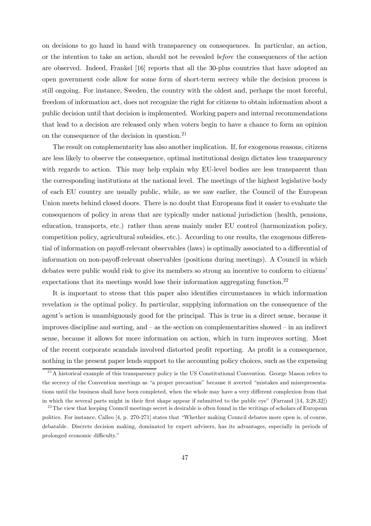on decisions to go hand in hand with transparency on consequences. In particular, an action, or the intention to take an action, should not be revealed before the consequences of the action are observed. Indeed, Frankel [16] reports that all the 30-plus countries that have adopted an open government code allow for some form of short-term secrecy while the decision process is still ongoing. For instance, Sweden, the country with the oldest and, perhaps the most forceful, freedom of information act, does not recognize the right for citizens to obtain information about a public decision until that decision is implemented. Working papers and internal recommendations that lead to a decision are released only when voters begin to have a chance to form an opinion on the consequence of the decision in question.21

The result on complementarity has also another implication. If, for exogenous reasons, citizens are less likely to observe the consequence, optimal institutional design dictates less transparency with regards to action. This may help explain why EU-level bodies are less transparent than the corresponding institutions at the national level. The meetings of the highest legislative body of each EU country are usually public, while, as we saw earlier, the Council of the European Union meets behind closed doors. There is no doubt that Europeans find it easier to evaluate the consequences of policy in areas that are typically under national jurisdiction (health, pensions, education, transports, etc.) rather than areas mainly under EU control (harmonization policy, competition policy, agricultural subsidies, etc.). According to our results, the exogenous differential of information on payoff-relevant observables (laws) is optimally associated to a differential of information on non-payoff-relevant observables (positions during meetings). A Council in which debates were public would risk to give its members so strong an incentive to conform to citizens' expectations that its meetings would lose their information aggregating function.<sup>22</sup>

It is important to stress that this paper also identifies circumstances in which information revelation is the optimal policy. In particular, supplying information on the consequence of the agent's action is unambiguously good for the principal. This is true in a direct sense, because it improves discipline and sorting, and — as the section on complementarities showed — in an indirect sense, because it allows for more information on action, which in turn improves sorting. Most of the recent corporate scandals involved distorted profit reporting. As profit is a consequence, nothing in the present paper lends support to the accounting policy choices, such as the expensing

<sup>&</sup>lt;sup>21</sup>A historical example of this transparency policy is the US Constitutional Convention. George Mason refers to the secrecy of the Convention meetings as "a proper precaution" because it averted "mistakes and misrepresentations until the business shall have been completed, when the whole may have a very different complexion from that in which the several parts might in their first shape appear if submitted to the public eye" (Farrand [14, 3:28,32])

 $2<sup>22</sup>$  The view that keeping Council meetings secret is desirable is often found in the writings of scholars of European politics. For instance, Calleo [4, p. 270-271] states that "Whether making Council debates more open is, of course, debatable. Discrete decision making, dominated by expert advisers, has its advantages, especially in periods of prolonged economic difficulty."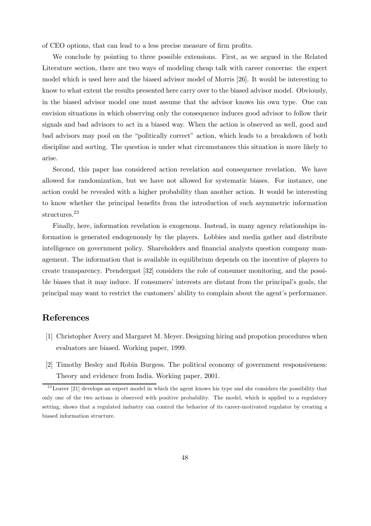of CEO options, that can lead to a less precise measure of firm profits.

We conclude by pointing to three possible extensions. First, as we argued in the Related Literature section, there are two ways of modeling cheap talk with career concerns: the expert model which is used here and the biased advisor model of Morris [26]. It would be interesting to know to what extent the results presented here carry over to the biased advisor model. Obviously, in the biased advisor model one must assume that the advisor knows his own type. One can envision situations in which observing only the consequence induces good advisor to follow their signals and bad advisors to act in a biased way. When the action is observed as well, good and bad advisors may pool on the "politically correct" action, which leads to a breakdown of both discipline and sorting. The question is under what circumstances this situation is more likely to arise.

Second, this paper has considered action revelation and consequence revelation. We have allowed for randomization, but we have not allowed for systematic biases. For instance, one action could be revealed with a higher probability than another action. It would be interesting to know whether the principal benefits from the introduction of such asymmetric information structures.23

Finally, here, information revelation is exogenous. Instead, in many agency relationships information is generated endogenously by the players. Lobbies and media gather and distribute intelligence on government policy. Shareholders and financial analysts question company management. The information that is available in equilibrium depends on the incentive of players to create transparency. Prendergast [32] considers the role of consumer monitoring, and the possible biases that it may induce. If consumers' interests are distant from the principal's goals, the principal may want to restrict the customers' ability to complain about the agent's performance.

# References

- [1] Christopher Avery and Margaret M. Meyer. Designing hiring and propotion procedures when evaluators are biased. Working paper, 1999.
- [2] Timothy Besley and Robin Burgess. The political economy of government responsiveness: Theory and evidence from India. Working paper, 2001.

 $23$  Leaver [21] develops an expert model in which the agent knows his type and she considers the possibility that only one of the two actions is observed with positive probability. The model, which is applied to a regulatory setting, shows that a regulated industry can control the behavior of its career-motivated regulator by creating a biased information structure.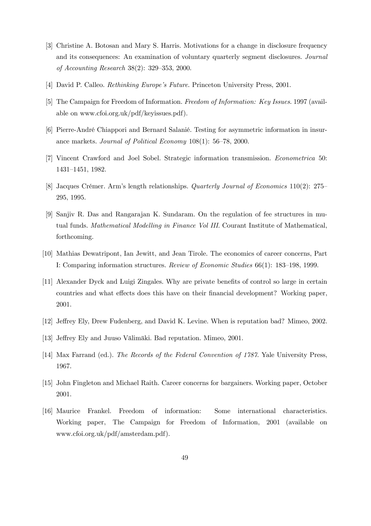- [3] Christine A. Botosan and Mary S. Harris. Motivations for a change in disclosure frequency and its consequences: An examination of voluntary quarterly segment disclosures. Journal of Accounting Research 38(2): 329—353, 2000.
- [4] David P. Calleo. Rethinking Europe's Future. Princeton University Press, 2001.
- [5] The Campaign for Freedom of Information. Freedom of Information: Key Issues. 1997 (available on www.cfoi.org.uk/pdf/keyissues.pdf).
- [6] Pierre-André Chiappori and Bernard Salanié. Testing for asymmetric information in insurance markets. Journal of Political Economy 108(1): 56—78, 2000.
- [7] Vincent Crawford and Joel Sobel. Strategic information transmission. Econometrica 50: 1431—1451, 1982.
- [8] Jacques Crémer. Arm's length relationships. Quarterly Journal of Economics 110(2): 275— 295, 1995.
- [9] Sanjiv R. Das and Rangarajan K. Sundaram. On the regulation of fee structures in mutual funds. Mathematical Modelling in Finance Vol III. Courant Institute of Mathematical, forthcoming.
- [10] Mathias Dewatripont, Ian Jewitt, and Jean Tirole. The economics of career concerns, Part I: Comparing information structures. Review of Economic Studies 66(1): 183—198, 1999.
- [11] Alexander Dyck and Luigi Zingales. Why are private benefits of control so large in certain countries and what effects does this have on their financial development? Working paper, 2001.
- [12] Jeffrey Ely, Drew Fudenberg, and David K. Levine. When is reputation bad? Mimeo, 2002.
- [13] Jeffrey Ely and Juuso Välimäki. Bad reputation. Mimeo, 2001.
- [14] Max Farrand (ed.). The Records of the Federal Convention of 1787. Yale University Press, 1967.
- [15] John Fingleton and Michael Raith. Career concerns for bargainers. Working paper, October 2001.
- [16] Maurice Frankel. Freedom of information: Some international characteristics. Working paper, The Campaign for Freedom of Information, 2001 (available on www.cfoi.org.uk/pdf/amsterdam.pdf).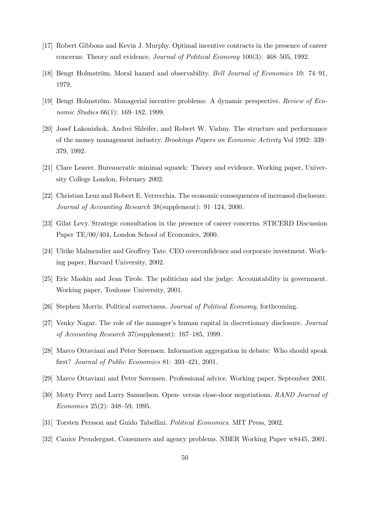- [17] Robert Gibbons and Kevin J. Murphy. Optimal incentive contracts in the presence of career concerns: Theory and evidence. Journal of Political Economy 100(3): 468—505, 1992.
- [18] Bengt Holmström. Moral hazard and observability. Bell Journal of Economics 10: 74—91, 1979.
- [19] Bengt Holmström. Managerial incentive problems: A dynamic perspective. Review of Economic Studies 66(1): 169—182, 1999.
- [20] Josef Lakonishok, Andrei Shleifer, and Robert W. Vishny. The structure and performance of the money management industry. Brookings Papers on Economic Activity Vol 1992: 339— 379, 1992.
- [21] Clare Leaver. Bureaucratic minimal squawk: Theory and evidence. Working paper, University College London, February 2002.
- [22] Christian Leuz and Robert E. Verrecchia. The economic consequences of increased disclosure. Journal of Accounting Research 38(supplement): 91—124, 2000.
- [23] Gilat Levy. Strategic consultation in the presence of career concerns. STICERD Discussion Paper TE/00/404, London School of Economics, 2000.
- [24] Ulrike Malmendier and Geoffrey Tate. CEO overconfidence and corporate investment. Working paper, Harvard University, 2002.
- [25] Eric Maskin and Jean Tirole. The politician and the judge: Accountability in government. Working paper, Toulouse University, 2001.
- [26] Stephen Morris. Political correctness. Journal of Political Economy, forthcoming.
- [27] Venky Nagar. The role of the manager's human capital in discretionary disclosure. Journal of Accounting Research 37(supplement): 167—185, 1999.
- [28] Marco Ottaviani and Peter Sørensen. Information aggregation in debate: Who should speak first? Journal of Public Economics 81: 393—421, 2001.
- [29] Marco Ottaviani and Peter Sørensen. Professional advice. Working paper, September 2001.
- [30] Motty Perry and Larry Samuelson. Open- versus close-door negotiations. RAND Journal of Economics 25(2): 348—59, 1995.
- [31] Torsten Persson and Guido Tabellini. Political Economics. MIT Press, 2002.
- [32] Canice Prendergast. Consumers and agency problems. NBER Working Paper w8445, 2001.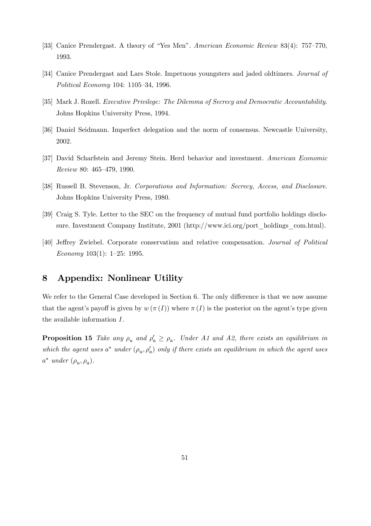- [33] Canice Prendergast. A theory of "Yes Men". American Economic Review 83(4): 757—770, 1993.
- [34] Canice Prendergast and Lars Stole. Impetuous youngsters and jaded oldtimers. Journal of Political Economy 104: 1105—34, 1996.
- [35] Mark J. Rozell. Executive Privilege: The Dilemma of Secrecy and Democratic Accountability. Johns Hopkins University Press, 1994.
- [36] Daniel Seidmann. Imperfect delegation and the norm of consensus. Newcastle University, 2002.
- [37] David Scharfstein and Jeremy Stein. Herd behavior and investment. American Economic Review 80: 465—479, 1990.
- [38] Russell B. Stevenson, Jr. Corporations and Information: Secrecy, Access, and Disclosure. Johns Hopkins University Press, 1980.
- [39] Craig S. Tyle. Letter to the SEC on the frequency of mutual fund portfolio holdings disclosure. Investment Company Institute, 2001 (http://www.ici.org/port\_holdings\_com.html).
- [40] Jeffrey Zwiebel. Corporate conservatism and relative compensation. Journal of Political Economy 103(1): 1—25: 1995.

# 8 Appendix: Nonlinear Utility

We refer to the General Case developed in Section 6. The only difference is that we now assume that the agent's payoff is given by  $w(\pi(I))$  where  $\pi(I)$  is the posterior on the agent's type given the available information I.

**Proposition 15** Take any  $\rho_u$  and  $\rho'_a \ge \rho_a$ . Under A1 and A2, there exists an equilibrium in which the agent uses  $a^*$  under  $(\rho_u, \rho'_a)$  only if there exists an equilibrium in which the agent uses  $a^*$  under  $(\rho_u, \rho_a)$ .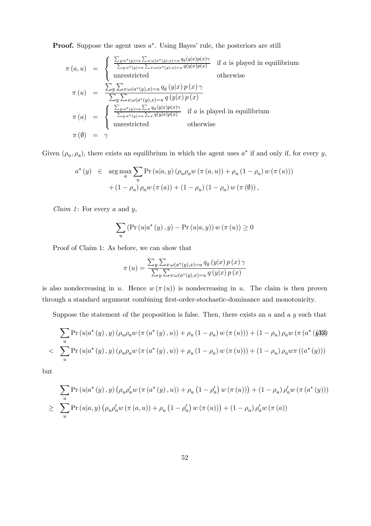**Proof.** Suppose the agent uses  $a^*$ . Using Bayes' rule, the posteriors are still

$$
\pi(a, u) = \begin{cases}\n\frac{\sum_{y:a^*(y)=a} \sum_{x:\omega(a^*(y),x)=u} q_g(y|x)p(x)\gamma}{\sum_{y:a^*(y)=a} \sum_{x:\omega(a^*(y),x)=u} q(y|x)p(x)} & \text{if } a \text{ is played in equilibrium} \\
\text{unrestricted} & \text{otherwise}\n\end{cases}
$$
\n
$$
\pi(u) = \frac{\sum_{y} \sum_{x:\omega(a^*(y),x)=u} q_g(y|x)p(x)\gamma}{\sum_{y} \sum_{x:\omega(a^*(y),x)=u} q(y|x)p(x)}\n\pi(a) = \begin{cases}\n\frac{\sum_{y:a^*(y)=a} \sum_{x} q_g(y|x)p(x)\gamma}{\sum_{y:a^*(y)=a} \sum_{x} q_g(y|x)p(x)} & \text{if } a \text{ is played in equilibrium} \\
\text{unrestricted} & \text{otherwise}\n\end{cases}
$$
\n
$$
\pi(\emptyset) = \gamma
$$

Given  $(\rho_u, \rho_a)$ , there exists an equilibrium in which the agent uses  $a^*$  if and only if, for every y,

$$
\begin{array}{lcl} a^{*}\left(y\right) & \in & \displaystyle \arg\max_{a}\sum_{u}\text{Pr}\left(u\vert a,y\right)\left(\rho_{u}\rho_{a}w\left(\pi\left(a,u\right)\right)+\rho_{u}\left(1-\rho_{a}\right)w\left(\pi\left(u\right)\right)\right) \\[10pt] & +\left(1-\rho_{u}\right)\rho_{a}w\left(\pi\left(a\right)\right)+\left(1-\rho_{u}\right)\left(1-\rho_{a}\right)w\left(\pi\left(\emptyset\right)\right), \end{array}
$$

Claim 1: For every  $a$  and  $y$ ,

$$
\sum_{u} \left( \Pr(u|a^*(y), y) - \Pr(u|a, y) \right) w(\pi(u)) \ge 0
$$

Proof of Claim 1: As before, we can show that

$$
\pi(u) = \frac{\sum_{y} \sum_{x:\omega(a^*(y),x)=u} q_g(y|x) p(x) \gamma}{\sum_{y} \sum_{x:\omega(a^*(y),x)=u} q(y|x) p(x)}
$$

is also nondecreasing in u. Hence  $w(\pi(u))$  is nondecreasing in u. The claim is then proven through a standard argument combining first-order-stochastic-dominance and monotonicity.

Suppose the statement of the proposition is false. Then, there exists an  $a$  and a  $y$  such that

$$
\sum_{u} \Pr(u|a^*(y), y) (\rho_u \rho_a w (\pi(a^*(y), u)) + \rho_u (1 - \rho_a) w (\pi(u))) + (1 - \rho_u) \rho_a w (\pi(a^*(y)))
$$
  

$$
\sum_{u} \Pr(u|a^*(y), y) (\rho_u \rho_a w (\pi(a^*(y), u)) + \rho_u (1 - \rho_a) w (\pi(u))) + (1 - \rho_u) \rho_a w \pi ((a^*(y)))
$$

but

$$
\sum_{u} \Pr(u|a^*(y), y) (\rho_u \rho_a' w (\pi(a^*(y), u)) + \rho_u (1 - \rho_a' w (\pi(u))) + (1 - \rho_u) \rho_a' w (\pi(a^*(y)))
$$
  
\n
$$
\geq \sum_{u} \Pr(u|a, y) (\rho_u \rho_a' w (\pi(a, u)) + \rho_u (1 - \rho_a' w (\pi(u))) + (1 - \rho_u) \rho_a' w (\pi(a))
$$